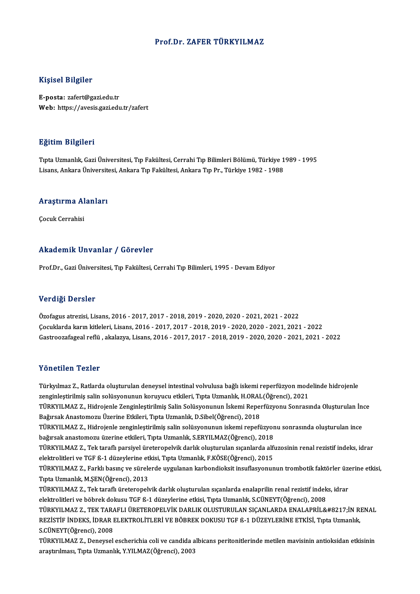### Prof.Dr. ZAFER TÜRKYILMAZ

### Kişisel Bilgiler

E-posta: zafert@gazi.edu.tr Web: https://avesis.gazi.edu.tr/zafert

### Eğitim Bilgileri

**Eğitim Bilgileri**<br>Tıpta Uzmanlık, Gazi Üniversitesi, Tıp Fakültesi, Cerrahi Tıp Bilimleri Bölümü, Türkiye 1989 - 1995<br>Lisans, Ankara Üniversitesi, Ankara Tın Fakültesi, Ankara Tın Pr., Türkiye 1982, 1989 Lisaans, Larynon<br>Tıpta Uzmanlık, Gazi Üniversitesi, Tıp Fakültesi, Cerrahi Tıp Bilimleri Bölümü, Türkiye 1<br>Lisans, Ankara Üniversitesi, Ankara Tıp Fakültesi, Ankara Tıp Pr., Türkiye 1982 - 1988

## Lisans, Ankara Universiu<br>Araştırma Alanları <mark>Araştırma Al</mark><br>Çocuk Cerrahisi

## Akademik Unvanlar / Görevler

Prof.Dr., Gazi Üniversitesi, Tıp Fakültesi, Cerrahi Tıp Bilimleri, 1995 - Devam Ediyor

#### Verdiği Dersler

Özofagus atrezisi,Lisans,2016 -2017,2017 -2018,2019 -2020,2020 -2021,2021 -2022 Çocuklarda karınkitleleri,Lisans,2016 -2017,2017 -2018,2019 -2020,2020 -2021,2021 -2022 Gastroozafageal reflü ,akalazya,Lisans,2016 -2017,2017 -2018,2019 -2020,2020 -2021,2021 -2022

#### Yönetilen Tezler

Türkyılmaz Z., Ratlarda oluşturulan deneysel intestinal volvulusa bağlı iskemi reperfüzyon modelinde hidrojenle zentestirilmiş salinsolu<br>Türkyılmaz Z., Ratlarda oluşturulan deneysel intestinal volvulusa bağlı iskemi reperfüzyon mod<br>Zenginleştirilmiş salin solüsyonunun koruyucu etkileri, Tıpta Uzmanlık, H.ORAL(Öğrenci), 2021<br>Türkyu M Türkyılmaz Z., Ratlarda oluşturulan deneysel intestinal volvulusa bağlı iskemi reperfüzyon modelinde hidrojenle<br>zenginleştirilmiş salin solüsyonunun koruyucu etkileri, Tıpta Uzmanlık, H.ORAL(Öğrenci), 2021<br>TÜRKYILMAZ Z., H zenginleştirilmiş salin solüsyonunun koruyucu etkileri, Tıpta Uzmanlık, H.ORAL<br>TÜRKYILMAZ Z., Hidrojenle Zenginleştirilmiş Salin Solüsyonunun İskemi Reper<br>Bağırsak Anastomozu Üzerine Etkileri, Tıpta Uzmanlık, D.Sibel(Öğren TÜRKYILMAZ Z., Hidrojenle Zenginleştirilmiş Salin Solüsyonunun İskemi Reperfüzyonu Sonrasında Oluşturulan İng<br>Bağırsak Anastomozu Üzerine Etkileri, Tıpta Uzmanlık, D.Sibel(Öğrenci), 2018<br>TÜRKYILMAZ Z., Hidrojenle zenginleş Bağırsak Anastomozu Üzerine Etkileri, Tıpta Uzmanlık, D.Sibel(Öğrenci), 2018<br>TÜRKYILMAZ Z., Hidrojenle zenginleştirilmiş salin solüsyonunun iskemi repefüzyor<br>bağırsak anastomozu üzerine etkileri, Tıpta Uzmanlık, S.ERYILMAZ TÜRKYILMAZ Z., Hidrojenle zenginleştirilmiş salin solüsyonunun iskemi repefüzyonu sonrasında oluşturulan ince<br>bağırsak anastomozu üzerine etkileri, Tıpta Uzmanlık, S.ERYILMAZ(Öğrenci), 2018<br>TÜRKYILMAZ Z., Tek taraflı parsi bağırsak anastomozu üzerine etkileri, Tıpta Uzmanlık, S.ERYILMAZ(Öğrenci), 2018<br>TÜRKYILMAZ Z., Tek taraflı parsiyel üreteropelvik darlık oluşturulan sıçanlarda alfı<br>elektrolitleri ve TGF ß-1 düzeylerine etkisi, Tıpta Uzman TÜRKYILMAZ Z., Tek taraflı parsiyel üreteropelvik darlık oluşturulan sıçanlarda alfuzosinin renal rezistif indeks, idrar<br>elektrolitleri ve TGF ß-1 düzeylerine etkisi, Tıpta Uzmanlık, F.KÖSE(Öğrenci), 2015<br>TÜRKYILMAZ Z., Fa elektrolitleri ve TGF ß-1 düzeylerine et<br>TÜRKYILMAZ Z., Farklı basınç ve sürele<br>Tıpta Uzmanlık, M.ŞEN(Öğrenci), 2013<br>TÜRKYU MAZ Z., Tek taraflı üneterenek TÜRKYILMAZ Z., Farklı basınç ve sürelerde uygulanan karbondioksit insuflasyonunun trombotik faktörler üzen, t<br>Tüpta Uzmanlık, M.ŞEN(Öğrenci), 2013<br>TÜRKYILMAZ Z., Tek taraflı üreteropelvik darlık oluşturulan sıçanlarda enal Tıpta Uzmanlık, M.ŞEN(Öğrenci), 2013<br>TÜRKYILMAZ Z., Tek taraflı üreteropelvik darlık oluşturulan sıçanlarda enalaprilin renal rezistif indek<br>elektrolitleri ve böbrek dokusu TGF ß-1 düzeylerine etkisi, Tıpta Uzmanlık, S.CÜN TÜRKYILMAZ Z., Tek taraflı üreteropelvik darlık oluşturulan sıçanlarda enalaprilin renal rezistif indeks, idrar<br>elektrolitleri ve böbrek dokusu TGF ß-1 düzeylerine etkisi, Tıpta Uzmanlık, S.CÜNEYT(Öğrenci), 2008<br>TÜRKYILMAZ elektrolitleri ve böbrek dokusu TGF ß-1 düzeylerine etkisi, Tıpta Uzmanlık, S.CÜNEYT(Öğrenci), 2008<br>TÜRKYILMAZ Z., TEK TARAFLI ÜRETEROPELVİK DARLIK OLUSTURULAN SIÇANLARDA ENALAPRİL&#8217;İN RI<br>REZİSTİF İNDEKS, İDRAR ELEKTR TÜRKYILMAZ Z., TEK TARA<br>REZİSTİF İNDEKS, İDRAR I<br>S.CÜNEYT(Öğrenci), 2008<br>TÜRKYU MAZ Z., Danavaşl REZİSTİF İNDEKS, İDRAR ELEKTROLİTLERİ VE BÖBREK DOKUSU TGF ß-1 DÜZEYLERİNE ETKİSİ, Tıpta Uzmanlık,<br>S.CÜNEYT(Öğrenci), 2008<br>TÜRKYILMAZ Z., Deneysel escherichia coli ve candida albicans peritonitlerinde metilen mavisinin ant araştırılması, Tıpta Uzmanlık, Y.YILMAZ(Öğrenci), 2003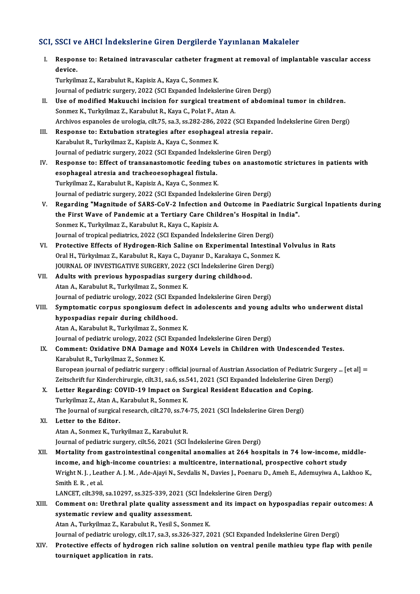# SCI, SSCI ve AHCI İndekslerine Giren Dergilerde Yayınlanan Makaleler<br>Makaleler

|       | SCI, SSCI ve AHCI İndekslerine Giren Dergilerde Yayınlanan Makaleler                                              |
|-------|-------------------------------------------------------------------------------------------------------------------|
| L.    | Response to: Retained intravascular catheter fragment at removal of implantable vascular access<br>device.        |
|       | Turkyilmaz Z., Karabulut R., Kapisiz A., Kaya C., Sonmez K.                                                       |
|       | Journal of pediatric surgery, 2022 (SCI Expanded İndekslerine Giren Dergi)                                        |
| П.    | Use of modified Makuuchi incision for surgical treatment of abdominal tumor in children.                          |
|       | Sonmez K., Turkyilmaz Z., Karabulut R., Kaya C., Polat F., Atan A.                                                |
|       | Archivos espanoles de urologia, cilt.75, sa.3, ss.282-286, 2022 (SCI Expanded İndekslerine Giren Dergi)           |
| III.  | Response to: Extubation strategies after esophageal atresia repair.                                               |
|       | Karabulut R., Turkyilmaz Z., Kapisiz A., Kaya C., Sonmez K.                                                       |
|       | Journal of pediatric surgery, 2022 (SCI Expanded Indekslerine Giren Dergi)                                        |
| IV.   | Response to: Effect of transanastomotic feeding tubes on anastomotic strictures in patients with                  |
|       | esophageal atresia and tracheoesophageal fistula.                                                                 |
|       | Turkyilmaz Z., Karabulut R., Kapisiz A., Kaya C., Sonmez K.                                                       |
|       | Journal of pediatric surgery, 2022 (SCI Expanded Indekslerine Giren Dergi)                                        |
| V.    | Regarding "Magnitude of SARS-CoV-2 Infection and Outcome in Paediatric Surgical Inpatients during                 |
|       | the First Wave of Pandemic at a Tertiary Care Children's Hospital in India".                                      |
|       | Sonmez K., Turkyilmaz Z., Karabulut R., Kaya C., Kapisiz A.                                                       |
|       | Journal of tropical pediatrics, 2022 (SCI Expanded İndekslerine Giren Dergi)                                      |
| VI.   | Protective Effects of Hydrogen-Rich Saline on Experimental Intestinal Volvulus in Rats                            |
|       | Oral H., Türkyılmaz Z., Karabulut R., Kaya C., Dayanır D., Karakaya C., Sonmez K.                                 |
|       | JOURNAL OF INVESTIGATIVE SURGERY, 2022 (SCI İndekslerine Giren Dergi)                                             |
| VII.  | Adults with previous hypospadias surgery during childhood.                                                        |
|       | Atan A., Karabulut R., Turkyilmaz Z., Sonmez K.                                                                   |
|       | Journal of pediatric urology, 2022 (SCI Expanded Indekslerine Giren Dergi)                                        |
| VIII. | Symptomatic corpus spongiosum defect in adolescents and young adults who underwent distal                         |
|       | hypospadias repair during childhood.                                                                              |
|       | Atan A., Karabulut R., Turkyilmaz Z., Sonmez K.                                                                   |
|       | Journal of pediatric urology, 2022 (SCI Expanded İndekslerine Giren Dergi)                                        |
|       | IX. Comment: Oxidative DNA Damage and NOX4 Levels in Children with Undescended Testes.                            |
|       | Karabulut R., Turkyilmaz Z., Sonmez K.                                                                            |
|       | European journal of pediatric surgery : official journal of Austrian Association of Pediatric Surgery  [et al] =  |
|       | Zeitschrift fur Kinderchirurgie, cilt.31, sa.6, ss.541, 2021 (SCI Expanded İndekslerine Giren Dergi)              |
| X.    | Letter Regarding: COVID-19 Impact on Surgical Resident Education and Coping.                                      |
|       | Turkyilmaz Z., Atan A., Karabulut R., Sonmez K.                                                                   |
|       | The Journal of surgical research, cilt.270, ss.74-75, 2021 (SCI Indekslerine Giren Dergi)                         |
| XI.   | Letter to the Editor.<br>Atan A., Sonmez K., Turkyilmaz Z., Karabulut R.                                          |
|       | Journal of pediatric surgery, cilt.56, 2021 (SCI Indekslerine Giren Dergi)                                        |
| XII.  | Mortality from gastrointestinal congenital anomalies at 264 hospitals in 74 low-income, middle-                   |
|       | income, and high-income countries: a multicentre, international, prospective cohort study                         |
|       | Wright N.J., Leather A.J. M., Ade-Ajayi N., Sevdalis N., Davies J., Poenaru D., Ameh E., Ademuyiwa A., Lakhoo K., |
|       | Smith E R , et al.                                                                                                |
|       | LANCET, cilt.398, sa.10297, ss.325-339, 2021 (SCI İndekslerine Giren Dergi)                                       |
| XIII. | Comment on: Urethral plate quality assessment and its impact on hypospadias repair outcomes: A                    |
|       | systematic review and quality assessment.                                                                         |
|       | Atan A., Turkyilmaz Z., Karabulut R., Yesil S., Sonmez K.                                                         |
|       | Journal of pediatric urology, cilt.17, sa.3, ss.326-327, 2021 (SCI Expanded İndekslerine Giren Dergi)             |
| XIV.  | Protective effects of hydrogen rich saline solution on ventral penile mathieu type flap with penile               |
|       | uuniauat annliaatian in uata                                                                                      |

Journal of pediatric urology, cilt.1?<br>Protective effects of hydrogen<br>tourniquet application in rats.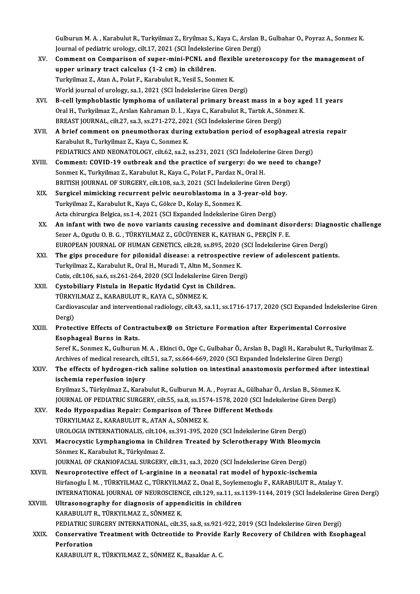Gulburun M. A. , Karabulut R., Turkyilmaz Z., Eryilmaz S., Kaya C., Arslan B., Gulbahar O., Poyraz A., Sonmez K<br>Journal of pediatria uralagu, silt 17, 2021 (SCI İndekslerine Giren Dergi) Gulburun M. A. , Karabulut R., Turkyilmaz Z., Eryilmaz S., Kaya C., Arslan I<br>Journal of pediatric urology, cilt.17, 2021 (SCI İndekslerine Giren Dergi)<br>Comment en Comnesison of suner mini PCNL and floyible unete Gulburun M. A. , Karabulut R., Turkyilmaz Z., Eryilmaz S., Kaya C., Arslan B., Gulbahar O., Poyraz A., Sonmez K.<br>Journal of pediatric urology, cilt.17, 2021 (SCI İndekslerine Giren Dergi)<br>XV. Comment on Comparison of super

- Journal of pediatric urology, cilt.17, 2021 (SCI İndekslerine Giren Dergi)<br>Comment on Comparison of super-mini-PCNL and flexible urete<br>upper urinary tract calculus (1-2 cm) in children.<br>Turkyilmaz Z., Atan A., Polat F., Ka XV. Comment on Comparison of super-mini-PCNL and flexible ureteroscopy for the management of World journal of urology, sa.1, 2021 (SCI İndekslerine Giren Dergi) Turkyilmaz Z., Atan A., Polat F., Karabulut R., Yesil S., Sonmez K.<br>World journal of urology, sa.1, 2021 (SCI İndekslerine Giren Dergi)<br>XVI. B-cell lymphoblastic lymphoma of unilateral primary breast mass in a boy aged 11
- World journal of urology, sa.1, 2021 (SCI İndekslerine Giren Dergi)<br>B-cell lymphoblastic lymphoma of unilateral primary breast mass in a boy ag<br>Oral H., Turkyilmaz Z., Arslan Kahraman D. İ. , Kaya C., Karabulut R., Tartık B-cell lymphoblastic lymphoma of unilateral primary breast mass in a<br>Oral H., Turkyilmaz Z., Arslan Kahraman D. İ. , Kaya C., Karabulut R., Tartık A., Sö<br>BREAST JOURNAL, cilt.27, sa.3, ss.271-272, 2021 (SCI İndekslerine Gi Oral H., Turkyilmaz Z., Arslan Kahraman D. İ. , Kaya C., Karabulut R., Tartık A., Sönmez K.<br>BREAST JOURNAL, cilt.27, sa.3, ss.271-272, 2021 (SCI İndekslerine Giren Dergi)<br>XVII. A brief comment on pneumothorax during extuba
- BREAST JOURNAL, cilt.27, sa.3, ss.271-272, 202<br>A brief comment on pneumothorax durin<br>Karabulut R., Turkyilmaz Z., Kaya C., Sonmez K.<br>PEDIATRICS AND NEONATOLOGY, silt 62, sa.2 A brief comment on pneumothorax during extubation period of esophageal atre<br>Karabulut R., Turkyilmaz Z., Kaya C., Sonmez K.<br>PEDIATRICS AND NEONATOLOGY, cilt.62, sa.2, ss.231, 2021 (SCI İndekslerine Giren Dergi)<br>Comment: CO Karabulut R., Turkyilmaz Z., Kaya C., Sonmez K.<br>PEDIATRICS AND NEONATOLOGY, cilt.62, sa.2, ss.231, 2021 (SCI İndekslerine Giren Dergi)<br>XVIII. Comment: COVID-19 outbreak and the practice of surgery: do we need to change
- Sonmez K., Turkyilmaz Z., Karabulut R., Kaya C., Polat F., Pardaz N., Oral H. Comment: COVID-19 outbreak and the practice of surgery: do we need to<br>Sonmez K., Turkyilmaz Z., Karabulut R., Kaya C., Polat F., Pardaz N., Oral H.<br>BRITISH JOURNAL OF SURGERY, cilt.108, sa.3, 2021 (SCI İndekslerine Giren D Sonmez K., Turkyilmaz Z., Karabulut R., Kaya C., Polat F., Pardaz N., Oral H.<br>BRITISH JOURNAL OF SURGERY, cilt.108, sa.3, 2021 (SCI İndekslerine Giren Dergi<br>XIX. Surgicel mimicking recurrent pelvic neuroblastoma in a 3-yea
- BRITISH JOURNAL OF SURGERY, cilt.108, sa.3, 2021 (SCI İndeksler<br>Surgicel mimicking recurrent pelvic neuroblastoma in a 3<br>Turkyilmaz Z., Karabulut R., Kaya C., Gökce D., Kolay E., Sonmez K.<br>Asta ebinungias Pelgica sa.1.4, 2 Surgicel mimicking recurrent pelvic neuroblastoma in a 3-year-old boy.<br>Turkyilmaz Z., Karabulut R., Kaya C., Gökce D., Kolay E., Sonmez K.<br>Acta chirurgica Belgica, ss.1-4, 2021 (SCI Expanded İndekslerine Giren Dergi)
- Turkyilmaz Z., Karabulut R., Kaya C., Gökce D., Kolay E., Sonmez K.<br>Acta chirurgica Belgica, ss.1-4, 2021 (SCI Expanded Indekslerine Giren Dergi)<br>XX. An infant with two de novo variants causing recessive and dominant disor Sezer A., Ogutlu O.B. G., TÜRKYILMAZ Z., GÜCÜYENER K., KAYHAN G., PERÇİN F.E. An infant with two de novo variants causing recessive and dominant disorders: Diag<br>Sezer A., Ogutlu O. B. G. , TÜRKYILMAZ Z., GÜCÜYENER K., KAYHAN G., PERÇİN F. E.<br>EUROPEAN JOURNAL OF HUMAN GENETICS, cilt.28, ss.895, 2020 EUROPEAN JOURNAL OF HUMAN GENETICS, cilt.28, ss.895, 2020 (SCI İndekslerine Giren Dergi)
- XXI. The gips procedure for pilonidal disease: a retrospective review of adolescent patients.<br>Turkyilmaz Z., Karabulut R., Oral H., Muradi T., Altın M., Sonmez K. Cutis, cilt.106, sa.6, ss.261-264, 2020 (SCI İndekslerine Giren Dergi) Turkyilmaz Z., Karabulut R., Oral H., Muradi T., Altın M., Sonmez<br>Cutis, cilt.106, sa.6, ss.261-264, 2020 (SCI İndekslerine Giren De<br>XXII. Cystobiliary Fistula in Hepatic Hydatid Cyst in Children.<br>TÜRKVII MAZ Z. KARARIII U
- Cutis, cilt.106, sa.6, ss.261-264, 2020 (SCI İndekslerine<br>Cystobiliary Fistula in Hepatic Hydatid Cyst in (TÜRKYILMAZ Z., KARABULUT R., KAYA C., SÖNMEZ K. Cardiovascular and interventional radiology, cilt.43, sa.11, ss.1716-1717, 2020 (SCI Expanded İndekslerine Giren<br>Dergi) TÜRKYILMAZ Z., KARABULUT R., KAYA C., SÖNMEZ K. Cardiovascular and interventional radiology, cilt.43, sa.11, ss.1716-1717, 2020 (SCI Expanded Indeksle<br>Dergi)<br>XXIII. Protective Effects of Contractubex® on Stricture Formation after Experimental Corrosive<br>Fearbagaal Punne
- Dergi)<br>Protective Effects of Contr<br>Esophageal Burns in Rats.<br>Seref K. Senmer K. Culburun Protective Effects of Contractubex® on Stricture Formation after Experimental Corrosive<br>Esophageal Burns in Rats.<br>Seref K., Sonmez K., Gulburun M. A. , Ekinci O., Oge C., Gulbahar Ö., Arslan B., Dagli H., Karabulut R., Tur

<mark>Esophageal Burns in Rats.</mark><br>Seref K., Sonmez K., Gulburun M. A. , Ekinci O., Oge C., Gulbahar Ö., Arslan B., Dagli H., Karabulut R., Tur<br>Archives of medical research, cilt.51, sa.7, ss.664-669, 2020 (SCI Expanded İndeksler

Seref K., Sonmez K., Gulburun M. A. , Ekinci O., Oge C., Gulbahar Ö., Arslan B., Dagli H., Karabulut R., Turkyilmaz Z.<br>Archives of medical research, cilt.51, sa.7, ss.664-669, 2020 (SCI Expanded Indekslerine Giren Dergi)<br>X Archives of medical research, cil<br>The effects of hydrogen-rich<br>ischemia reperfusion injury<br>Eurilman S. Türkulman 7. Karab The effects of hydrogen-rich saline solution on intestinal anastomosis performed after i<br>ischemia reperfusion injury<br>Eryilmaz S., Türkyılmaz Z., Karabulut R., Gulburun M. A. , Poyraz A., Gülbahar Ö., Arslan B., Sönmez K.<br>J

ischemia reperfusion injury<br>Eryilmaz S., Türkyılmaz Z., Karabulut R., Gulburun M. A. , Poyraz A., Gülbahar Ö., Arslan B., Sönmez k<br>JOURNAL OF PEDIATRIC SURGERY, cilt.55, sa.8, ss.1574-1578, 2020 (SCI İndekslerine Giren Der Eryilmaz S., Türkyılmaz Z., Karabulut R., Gulburun M. A. , Poyraz A., Gülbahar<br>JOURNAL OF PEDIATRIC SURGERY, cilt.55, sa.8, ss.1574-1578, 2020 (SCI İnde<br>XXV. Redo Hypospadias Repair: Comparison of Three Different Methods<br>T

- JOURNAL OF PEDIATRIC SURGERY, cilt.55, sa.8, ss.1574-1578, 2020 (SCI İndekslerine Giren Dergi)<br>Redo Hypospadias Repair: Comparison of Three Different Methods<br>TÜRKYILMAZ Z., KARABULUT R., ATAN A., SÖNMEZ K. UROLOGIAINTERNATIONALIS, cilt.104, ss.391-395,2020 (SCI İndekslerineGirenDergi) TÜRKYILMAZ Z., KARABULUT R., ATAN A., SÖNMEZ K.<br>UROLOGIA INTERNATIONALIS, cilt104, ss.391-395, 2020 (SCI İndekslerine Giren Dergi)<br>XXVI. Macrocystic Lymphangioma in Children Treated by Sclerotherapy With Bleomycin<br>Sänmar K
- Sönmez K., Karabulut R., Türkyılmaz Z.<br>JOURNAL OF CRANIOFACIAL SURGERY, cilt.31, sa.3, 2020 (SCI İndekslerine Giren Dergi) Macrocystic Lymphangioma in Children Treated by Sclerotherapy With Bleomy<br>Sönmez K., Karabulut R., Türkyılmaz Z.<br>JOURNAL OF CRANIOFACIAL SURGERY, cilt.31, sa.3, 2020 (SCI İndekslerine Giren Dergi)<br>Neuroprotective effect of
- XXVII. Neuroprotective effect of L-arginine in a neonatal rat model of hypoxic-ischemia Hirfanoglu İ.M. ,TÜRKYILMAZ C.,TÜRKYILMAZ Z.,OnalE.,Soylemezoglu F.,KARABULUTR.,AtalayY. INTERNATIONAL JOURNAL OF NEUROSCIENCE, cilt.129, sa.11, ss.1139-1144, 2019 (SCI İndekslerine Giren Dergi)
- XXVIII. Ultrasonography for diagnosis of appendicitis in children KARABULUTR., TÜRKYILMAZ Z., SÖNMEZK. Ultrasonography for diagnosis of appendicitis in children<br>KARABULUT R., TÜRKYILMAZ Z., SÖNMEZ K.<br>PEDIATRIC SURGERY INTERNATIONAL, cilt.35, sa.8, ss.921-922, 2019 (SCI İndekslerine Giren Dergi)<br>Consequentive Treatment with
- XXIX. Conservative Treatment with Octreotide to Provide Early Recovery of Children with Esophageal<br>Perforation PEDIATRIC SU<br>Conservative<br>Perforation<br>KARAPIU UT !

KARABULUT R., TÜRKYILMAZ Z., SÖNMEZ K., Basaklar A. C.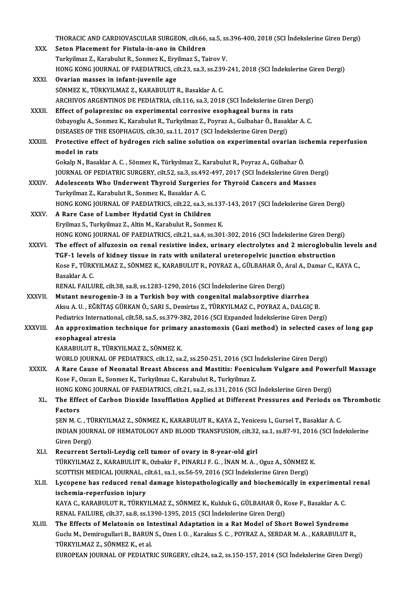|               | THORACIC AND CARDIOVASCULAR SURGEON, cilt.66, sa.5, ss.396-400, 2018 (SCI Indekslerine Giren Dergi)                                                                     |
|---------------|-------------------------------------------------------------------------------------------------------------------------------------------------------------------------|
| XXX.          | Seton Placement for Fistula-in-ano in Children                                                                                                                          |
|               | Turkyilmaz Z., Karabulut R., Sonmez K., Eryilmaz S., Tairov V.                                                                                                          |
|               | HONG KONG JOURNAL OF PAEDIATRICS, cilt.23, sa.3, ss.239-241, 2018 (SCI Indekslerine Giren Dergi)                                                                        |
| XXXI.         | Ovarian masses in infant-juvenile age                                                                                                                                   |
|               | SÖNMEZ K., TÜRKYILMAZ Z., KARABULUT R., Basaklar A. C.                                                                                                                  |
| XXXII.        | ARCHIVOS ARGENTINOS DE PEDIATRIA, cilt.116, sa.3, 2018 (SCI İndekslerine Giren Dergi)<br>Effect of polaprezinc on experimental corrosive esophageal burns in rats       |
|               | Ozbayoglu A., Sonmez K., Karabulut R., Turkyilmaz Z., Poyraz A., Gulbahar Ö., Basaklar A. C.                                                                            |
|               | DISEASES OF THE ESOPHAGUS, cilt.30, sa.11, 2017 (SCI İndekslerine Giren Dergi)                                                                                          |
| <b>XXXIII</b> | Protective effect of hydrogen rich saline solution on experimental ovarian ischemia reperfusion                                                                         |
|               | model in rats                                                                                                                                                           |
|               | Gokalp N., Basaklar A. C., Sönmez K., Türkyılmaz Z., Karabulut R., Poyraz A., Gülbahar Ö.                                                                               |
|               | JOURNAL OF PEDIATRIC SURGERY, cilt.52, sa.3, ss.492-497, 2017 (SCI Indekslerine Giren Dergi)                                                                            |
| <b>XXXIV</b>  | Adolescents Who Underwent Thyroid Surgeries for Thyroid Cancers and Masses                                                                                              |
|               | Turkyilmaz Z., Karabulut R., Sonmez K., Basaklar A. C.                                                                                                                  |
|               | HONG KONG JOURNAL OF PAEDIATRICS, cilt.22, sa.3, ss.137-143, 2017 (SCI İndekslerine Giren Dergi)                                                                        |
| <b>XXXV</b>   | A Rare Case of Lumber Hydatid Cyst in Children                                                                                                                          |
|               | Eryilmaz S., Turkyilmaz Z., Altin M., Karabulut R., Sonmez K.                                                                                                           |
|               | HONG KONG JOURNAL OF PAEDIATRICS, cilt.21, sa.4, ss.301-302, 2016 (SCI Indekslerine Giren Dergi)                                                                        |
| <b>XXXVI</b>  | The effect of alfuzosin on renal resistive index, urinary electrolytes and 2 microglobulin levels and                                                                   |
|               | TGF-1 levels of kidney tissue in rats with unilateral ureteropelvic junction obstruction                                                                                |
|               | Kose F., TÜRKYILMAZ Z., SÖNMEZ K., KARABULUT R., POYRAZ A., GÜLBAHAR Ö., Aral A., Damar C., KAYA C.,                                                                    |
|               | Basaklar A C                                                                                                                                                            |
| XXXVII.       | RENAL FAILURE, cilt.38, sa.8, ss.1283-1290, 2016 (SCI İndekslerine Giren Dergi)                                                                                         |
|               | Mutant neurogenin-3 in a Turkish boy with congenital malabsorptive diarrhea<br>Aksu A. U., EĞRİTAŞ GÜRKAN Ö., SARI S., Demirtas Z., TÜRKYILMAZ C., POYRAZ A., DALGIÇ B. |
|               | Pediatrics International, cilt.58, sa.5, ss.379-382, 2016 (SCI Expanded Indekslerine Giren Dergi)                                                                       |
| XXXVIII.      | An approximation technique for primary anastomosis (Gazi method) in selected cases of long gap                                                                          |
|               | esophageal atresia                                                                                                                                                      |
|               | KARABULUT R., TÜRKYILMAZ Z., SÖNMEZ K.                                                                                                                                  |
|               | WORLD JOURNAL OF PEDIATRICS, cilt.12, sa.2, ss.250-251, 2016 (SCI Indekslerine Giren Dergi)                                                                             |
| <b>XXXIX</b>  | A Rare Cause of Neonatal Breast Abscess and Mastitis: Foeniculum Vulgare and Powerfull Massage                                                                          |
|               | Kose F., Ozcan E., Sonmez K., Turkyilmaz C., Karabulut R., Turkyilmaz Z.                                                                                                |
|               | HONG KONG JOURNAL OF PAEDIATRICS, cilt.21, sa.2, ss.131, 2016 (SCI İndekslerine Giren Dergi)                                                                            |
| XL.           | The Effect of Carbon Dioxide Insufflation Applied at Different Pressures and Periods on Thrombotic                                                                      |
|               | <b>Factors</b>                                                                                                                                                          |
|               | ŞEN M. C., TÜRKYILMAZ Z., SÖNMEZ K., KARABULUT R., KAYA Z., Yenicesu I., Gursel T., Basaklar A. C.                                                                      |
|               | INDIAN JOURNAL OF HEMATOLOGY AND BLOOD TRANSFUSION, cilt.32, sa.1, ss.87-91, 2016 (SCI Indekslerine                                                                     |
|               | Giren Dergi)                                                                                                                                                            |
| XLI.          | Recurrent Sertoli-Leydig cell tumor of ovary in 8-year-old girl<br>TÜRKYILMAZ Z., KARABULUT R., Ozbakir F., PINARLI F. G., İNAN M. A., Oguz A., SÖNMEZ K.               |
|               | SCOTTISH MEDICAL JOURNAL, cilt.61, sa.1, ss.56-59, 2016 (SCI Indekslerine Giren Dergi)                                                                                  |
| XLII.         | Lycopene has reduced renal damage histopathologically and biochemically in experimental renal                                                                           |
|               | ischemia-reperfusion injury                                                                                                                                             |
|               | KAYA C., KARABULUT R., TÜRKYILMAZ Z., SÖNMEZ K., Kulduk G., GÜLBAHAR Ö., Kose F., Basaklar A. C.                                                                        |
|               | RENAL FAILURE, cilt.37, sa.8, ss.1390-1395, 2015 (SCI İndekslerine Giren Dergi)                                                                                         |
| XLIII.        | The Effects of Melatonin on Intestinal Adaptation in a Rat Model of Short Bowel Syndrome                                                                                |
|               | Guclu M., Demirogullari B., BARUN S., Ozen I. O., Karakus S. C., POYRAZ A., SERDAR M. A., KARABULUT R.,                                                                 |
|               | TÜRKYILMAZ Z., SÖNMEZ K., et al.                                                                                                                                        |
|               | EUROPEAN JOURNAL OF PEDIATRIC SURGERY, cilt.24, sa.2, ss.150-157, 2014 (SCI Indekslerine Giren Dergi)                                                                   |
|               |                                                                                                                                                                         |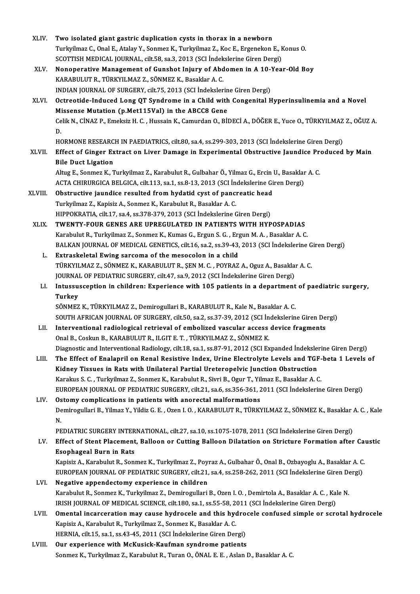| XLIV.   | Two isolated giant gastric duplication cysts in thorax in a newborn                                                 |
|---------|---------------------------------------------------------------------------------------------------------------------|
|         | Turkyilmaz C., Onal E., Atalay Y., Sonmez K., Turkyilmaz Z., Koc E., Ergenekon E., Konus O.                         |
|         | SCOTTISH MEDICAL JOURNAL, cilt.58, sa.3, 2013 (SCI İndekslerine Giren Dergi)                                        |
| XLV.    | Nonoperative Management of Gunshot Injury of Abdomen in A 10-Year-Old Boy                                           |
|         | KARABULUT R., TÜRKYILMAZ Z., SÖNMEZ K., Basaklar A. C.                                                              |
|         | INDIAN JOURNAL OF SURGERY, cilt.75, 2013 (SCI İndekslerine Giren Dergi)                                             |
| XLVI.   | Octreotide-Induced Long QT Syndrome in a Child with Congenital Hyperinsulinemia and a Novel                         |
|         | Missense Mutation (p.Met115Val) in the ABCC8 Gene                                                                   |
|         | Celik N., CİNAZ P., Emeksiz H. C., Hussain K., Camurdan O., BİDECİ A., DÖĞER E., Yuce O., TÜRKYILMAZ Z., OĞUZ A.    |
|         | D.                                                                                                                  |
|         | HORMONE RESEARCH IN PAEDIATRICS, cilt.80, sa.4, ss.299-303, 2013 (SCI Indekslerine Giren Dergi)                     |
| XLVII.  | Effect of Ginger Extract on Liver Damage in Experimental Obstructive Jaundice Produced by Main                      |
|         | <b>Bile Duct Ligation</b>                                                                                           |
|         | Altug E., Sonmez K., Turkyilmaz Z., Karabulut R., Gulbahar Ö., Yilmaz G., Ercin U., Basaklar A. C.                  |
|         | ACTA CHIRURGICA BELGICA, cilt.113, sa.1, ss.8-13, 2013 (SCI Indekslerine Giren Dergi)                               |
| XLVIII. | Obstructive jaundice resulted from hydatid cyst of pancreatic head                                                  |
|         | Turkyilmaz Z., Kapisiz A., Sonmez K., Karabulut R., Basaklar A. C.                                                  |
|         | HIPPOKRATIA, cilt.17, sa.4, ss.378-379, 2013 (SCI Indekslerine Giren Dergi)                                         |
| XLIX.   | TWENTY-FOUR GENES ARE UPREGULATED IN PATIENTS WITH HYPOSPADIAS                                                      |
|         | Karabulut R., Turkyilmaz Z., Sonmez K., Kumas G., Ergun S. G., Ergun M. A., Basaklar A. C.                          |
|         | BALKAN JOURNAL OF MEDICAL GENETICS, cilt.16, sa.2, ss.39-43, 2013 (SCI İndekslerine Giren Dergi)                    |
| L.      | Extraskeletal Ewing sarcoma of the mesocolon in a child                                                             |
|         | TÜRKYILMAZ Z., SÖNMEZ K., KARABULUT R., ŞEN M. C. , POYRAZ A., Oguz A., Basaklar A. C.                              |
|         | JOURNAL OF PEDIATRIC SURGERY, cilt.47, sa.9, 2012 (SCI Indekslerine Giren Dergi)                                    |
| LI.     | Intussusception in children: Experience with 105 patients in a department of paediatric surgery,                    |
|         | Turkey                                                                                                              |
|         | SÖNMEZ K., TÜRKYILMAZ Z., Demirogullari B., KARABULUT R., Kale N., Basaklar A. C.                                   |
|         | SOUTH AFRICAN JOURNAL OF SURGERY, cilt.50, sa.2, ss.37-39, 2012 (SCI İndekslerine Giren Dergi)                      |
| LII.    | Interventional radiological retrieval of embolized vascular access device fragments                                 |
|         | Onal B., Coskun B., KARABULUT R., ILGIT E. T., TÜRKYILMAZ Z., SÖNMEZ K.                                             |
|         | Diagnostic and Interventional Radiology, cilt.18, sa.1, ss.87-91, 2012 (SCI Expanded Indekslerine Giren Dergi)      |
| LIII.   | The Effect of Enalapril on Renal Resistive Index, Urine Electrolyte Levels and TGF-beta 1 Levels of                 |
|         | Kidney Tissues in Rats with Unilateral Partial Ureteropelvic Junction Obstruction                                   |
|         | Karakus S. C., Turkyilmaz Z., Sonmez K., Karabulut R., Sivri B., Ogur T., Yilmaz E., Basaklar A. C.                 |
|         | EUROPEAN JOURNAL OF PEDIATRIC SURGERY, cilt.21, sa.6, ss.356-361, 2011 (SCI Indekslerine Giren Dergi)               |
| LIV.    | Ostomy complications in patients with anorectal malformations                                                       |
|         | Demirogullari B., Yilmaz Y., Yildiz G. E., Ozen I. O., KARABULUT R., TÜRKYILMAZ Z., SÖNMEZ K., Basaklar A. C., Kale |
|         | N.                                                                                                                  |
|         | PEDIATRIC SURGERY INTERNATIONAL, cilt.27, sa.10, ss.1075-1078, 2011 (SCI İndekslerine Giren Dergi)                  |
| LV.     | Effect of Stent Placement, Balloon or Cutting Balloon Dilatation on Stricture Formation after Caustic               |
|         | <b>Esophageal Burn in Rats</b>                                                                                      |
|         | Kapisiz A., Karabulut R., Sonmez K., Turkyilmaz Z., Poyraz A., Gulbahar Ö., Onal B., Ozbayoglu A., Basaklar A.C.    |
|         | EUROPEAN JOURNAL OF PEDIATRIC SURGERY, cilt.21, sa.4, ss.258-262, 2011 (SCI Indekslerine Giren Dergi)               |
| LVI.    | Negative appendectomy experience in children                                                                        |
|         | Karabulut R., Sonmez K., Turkyilmaz Z., Demirogullari B., Ozen I. O., Demirtola A., Basaklar A. C., Kale N.         |
|         | IRISH JOURNAL OF MEDICAL SCIENCE, cilt.180, sa.1, ss.55-58, 2011 (SCI İndekslerine Giren Dergi)                     |
| LVII.   | Omental incarceration may cause hydrocele and this hydrocele confused simple or scrotal hydrocele                   |
|         | Kapisiz A., Karabulut R., Turkyilmaz Z., Sonmez K., Basaklar A. C.                                                  |
|         | HERNIA, cilt.15, sa.1, ss.43-45, 2011 (SCI İndekslerine Giren Dergi)                                                |
| LVIII.  | Our experience with McKusick-Kaufman syndrome patients                                                              |
|         | Sonmez K., Turkyilmaz Z., Karabulut R., Turan O., ÖNAL E. E., Aslan D., Basaklar A. C.                              |
|         |                                                                                                                     |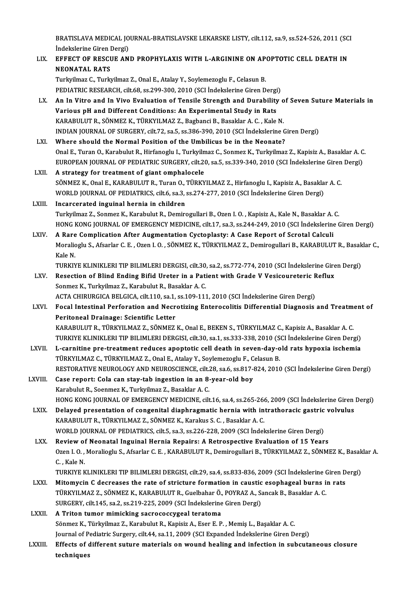BRATISLAVA MEDICAL JOURNAL-BRATISLAVSKE LEKARSKE LISTY, cilt.112, sa.9, ss.524-526, 2011 (SCI<br>Indekslerine Giren Dengi) **BRATISLAVA MEDICAL JO<br>İndekslerine Giren Dergi)**<br>FEEECT OF PESCUE AN BRATISLAVA MEDICAL JOURNAL-BRATISLAVSKE LEKARSKE LISTY, cilt.112, sa.9, ss.524-526, 2011 (SC<br>Indekslerine Giren Dergi)<br>LIX. EFFECT OF RESCUE AND PROPHYLAXIS WITH L-ARGININE ON APOPTOTIC CELL DEATH IN

## Indekslerine Giren Dergi)<br>LIX. EFFECT OF RESCUE AND PROPHYLAXIS WITH L-ARGININE ON APOPTOTIC CELL DEATH IN<br>NEONATAL RATS

Turkyilmaz C., Turkyilmaz Z., Onal E., Atalay Y., Soylemezoglu F., Celasun B. PEDIATRIC RESEARCH, cilt.68, ss.299-300, 2010 (SCI İndekslerine Giren Dergi)

Turkyilmaz C., Turkyilmaz Z., Onal E., Atalay Y., Soylemezoglu F., Celasun B.<br>PEDIATRIC RESEARCH, cilt.68, ss.299-300, 2010 (SCI İndekslerine Giren Dergi)<br>LX. An In Vitro and In Vivo Evaluation of Tensile Strength and Dura PEDIATRIC RESEARCH, cilt.68, ss.299-300, 2010 (SCI Indekslerine Giren Dergi<br>An In Vitro and In Vivo Evaluation of Tensile Strength and Durability<br>Various pH and Different Conditions: An Experimental Study in Rats<br>KARAPIH U An In Vitro and In Vivo Evaluation of Tensile Strength and Durability of Various pH and Different Conditions: An Experimental Study in Rats<br>KARABULUT R., SÖNMEZ K., TÜRKYILMAZ Z., Bagbanci B., Basaklar A. C. , Kale N.<br>INDI Various pH and Different Conditions: An Experimental Study in Rats<br>KARABULUT R., SÖNMEZ K., TÜRKYILMAZ Z., Bagbanci B., Basaklar A. C. , Kale N.<br>INDIAN JOURNAL OF SURGERY, cilt.72, sa.5, ss.386-390, 2010 (SCI İndekslerine

LXI. Where should the Normal Position of the Umbilicus be in the Neonate? INDIAN JOURNAL OF SURGERY, cilt.72, sa.5, ss.386-390, 2010 (SCI İndekslerine Giren Dergi)<br>Where should the Normal Position of the Umbilicus be in the Neonate?<br>Onal E., Turan O., Karabulut R., Hirfanoglu I., Turkyilmaz C., Where should the Normal Position of the Umbilicus be in the Neonate?<br>Onal E., Turan O., Karabulut R., Hirfanoglu I., Turkyilmaz C., Sonmez K., Turkyilmaz Z., Kapisiz A., Basaklar A. C<br>EUROPEAN JOURNAL OF PEDIATRIC SURGERY, EUROPEAN JOURNAL OF PEDIATRIC SURGERY, cilt. 20, sa.5, ss. 339-340, 2010 (SCI Indekslerine Giren Dergi) LXII. A strategy for treatment of giant omphalocele

EUROPEAN JOURNAL OF PEDIATRIC SURGERY, cilt.20, sa.5, ss.339-340, 2010 (SCI İndekslerine Giren<br>A strategy for treatment of giant omphalocele<br>SÖNMEZ K., Onal E., KARABULUT R., Turan O., TÜRKYILMAZ Z., Hirfanoglu I., Kapisiz A strategy for treatment of giant omphalocele<br>SÖNMEZ K., Onal E., KARABULUT R., Turan O., TÜRKYILMAZ Z., Hirfanoglu I., Kapisiz A., Basakla<br>WORLD JOURNAL OF PEDIATRICS, cilt.6, sa.3, ss.274-277, 2010 (SCI İndekslerine Gire SÖNMEZ K., Onal E., KARABULUT R., Turan O.,<br>WORLD JOURNAL OF PEDIATRICS, cilt.6, sa.3, :<br>LXIII. Incarcerated inguinal hernia in children<br>Turkrilmez Z. Sonmez K. Karabulut P. Demira

## WORLD JOURNAL OF PEDIATRICS, cilt.6, sa.3, ss.274-277, 2010 (SCI İndekslerine Giren Dergi)<br>Incarcerated inguinal hernia in children<br>Turkyilmaz Z., Sonmez K., Karabulut R., Demirogullari B., Ozen I. O. , Kapisiz A., Kale N. Incarcerated inguinal hernia in children<br>Turkyilmaz Z., Sonmez K., Karabulut R., Demirogullari B., Ozen I. O. , Kapisiz A., Kale N., Basaklar A. C.<br>HONG KONG JOURNAL OF EMERGENCY MEDICINE, cilt.17, sa.3, ss.244-249, 2010 ( Turkyilmaz Z., Sonmez K., Karabulut R., Demirogullari B., Ozen I. O., Kapisiz A., Kale N., Basaklar A.<br>HONG KONG JOURNAL OF EMERGENCY MEDICINE, cilt.17, sa.3, ss.244-249, 2010 (SCI Indekslerine<br>LXIV. A Rare Complication Af

HONG KONG JOURNAL OF EMERGENCY MEDICINE, cilt.17, sa.3, ss.244-249, 2010 (SCI İndekslerine Giren Dergi)<br>A Rare Complication After Augmentation Cyctoplasty: A Case Report of Scrotal Calculi<br>Moralioglu S., Afsarlar C. E. , O **A Rare<br>Moralio<br>Kale N<br>TURKIN** Moralioglu S., Afsarlar C. E. , Ozen I. O. , SÖNMEZ K., TÜRKYILMAZ Z., Demirogullari B., KARABULUT R., Basak<br>Kale N.<br>TURKIYE KLINIKLERI TIP BILIMLERI DERGISI, cilt.30, sa.2, ss.772-774, 2010 (SCI İndekslerine Giren Dergi)<br>

Kale N.<br>TURKIYE KLINIKLERI TIP BILIMLERI DERGISI, cilt.30, sa.2, ss.772-774, 2010 (SCI İndekslerine Gire<br>LXV. Resection of Blind Ending Bifid Ureter in a Patient with Grade V Vesicoureteric Reflux<br>Sonmer K. Turkrilmar 7. K TURKIYE KLINIKLERI TIP BILIMLERI DERGISI, cilt.30<br>Resection of Blind Ending Bifid Ureter in a Pati<br>Sonmez K., Turkyilmaz Z., Karabulut R., Basaklar A. C.<br>ACTA CHIBURCICA BELGICA silt 110, sa 1, ss 109, 111 Resection of Blind Ending Bifid Ureter in a Patient with Grade V Vesicoureteric R<br>Sonmez K., Turkyilmaz Z., Karabulut R., Basaklar A. C.<br>ACTA CHIRURGICA BELGICA, cilt.110, sa.1, ss.109-111, 2010 (SCI İndekslerine Giren Der ACTA CHIRURGICA BELGICA, cilt.110, sa.1, ss.109-111, 2010 (SCI İndekslerine Giren Dergi)

Sonmez K., Turkyilmaz Z., Karabulut R., Basaklar A. C.<br>ACTA CHIRURGICA BELGICA, cilt.110, sa.1, ss.109-111, 2010 (SCI İndekslerine Giren Dergi)<br>LXVI. Focal Intestinal Perforation and Necrotizing Enterocolitis Differential Focal Intestinal Perforation and Necrotizing Enterocolitis Differential Diagnosis and Treatment Peritoneal Drainage: Scientific Letter<br>KARABULUT R., TÜRKYILMAZ Z., SÖNMEZ K., Onal E., BEKEN S., TÜRKYILMAZ C., Kapisiz A., B Peritoneal Drainage: Scientific Letter<br>KARABULUT R., TÜRKYILMAZ Z., SÖNMEZ K., Onal E., BEKEN S., TÜRKYILMAZ C., Kapisiz A., Basaklar A. C.<br>TURKIYE KLINIKLERI TIP BILIMLERI DERGISI, cilt.30, sa.1, ss.333-338, 2010 (SCI İnd KARABULUT R., TÜRKYILMAZ Z., SÖNMEZ K., Onal E., BEKEN S., TÜRKYILMAZ C., Kapisiz A., Basaklar A. C.<br>TURKIYE KLINIKLERI TIP BILIMLERI DERGISI, cilt.30, sa.1, ss.333-338, 2010 (SCI İndekslerine Giren Dergi)<br>LXVII. L-carniti

TURKIYE KLINIKLERI TIP BILIMLERI DERGISI, cilt.30, sa.1, ss.333-338, 2010 (S.<br>L-carnitine pre-treatment reduces apoptotic cell death in seven-day-o<br>TÜRKYILMAZ C., TÜRKYILMAZ Z., Onal E., Atalay Y., Soylemezoglu F., Celasun L-carnitine pre-treatment reduces apoptotic cell death in seven-day-old rats hypoxia ischemia<br>TÜRKYILMAZ C., TÜRKYILMAZ Z., Onal E., Atalay Y., Soylemezoglu F., Celasun B.<br>RESTORATIVE NEUROLOGY AND NEUROSCIENCE, cilt.28, s TÜRKYILMAZ C., TÜRKYILMAZ Z., Onal E., Atalay Y., Soylemezoglu F., C<br>RESTORATIVE NEUROLOGY AND NEUROSCIENCE, cilt.28, sa.6, ss.817-4<br>LXVIII. Case report: Cola can stay-tab ingestion in an 8-year-old boy

## Karabulut R., Soenmez K., Turkyilmaz Z., Basaklar A. C. HONG KONG JOURNAL OF EMERGENCY MEDICINE, cilt.16, sa.4, ss.265-266, 2009 (SCI İndekslerine Giren Dergi) Karabulut R., Soenmez K., Turkyilmaz Z., Basaklar A. C.<br>HONG KONG JOURNAL OF EMERGENCY MEDICINE, cilt.16, sa.4, ss.265-266, 2009 (SCI İndekslerine Giren<br>LXIX. Delayed presentation of congenital diaphragmatic hernia with in

- KARABULUT R., TÜRKYILMAZ Z., SÖNMEZ K., Karakus S. C. , Basaklar A. C.<br>WORLD JOURNAL OF PEDIATRICS. cilt.5. sa.3. ss.226-228. 2009 (SCI İndekslerine Giren Dergi) Delayed presentation of congenital diaphragmatic hernia with intrathoracic gastric<br>KARABULUT R., TÜRKYILMAZ Z., SÖNMEZ K., Karakus S. C. , Basaklar A. C.<br>WORLD JOURNAL OF PEDIATRICS, cilt.5, sa.3, ss.226-228, 2009 (SCI İnd
- LXX. Reviewof Neonatal Inguinal Hernia Repairs: A Retrospective Evaluation of 15 Years WORLD JOURNAL OF PEDIATRICS, cilt.5, sa.3, ss.226-228, 2009 (SCI İndekslerine Giren Dergi)<br>Review of Neonatal Inguinal Hernia Repairs: A Retrospective Evaluation of 15 Years<br>Ozen I. O. , Moralioglu S., Afsarlar C. E. , KAR Review of<br>Ozen I. O.,<br>C., Kale N.<br>TURKIVE K Ozen I. O. , Moralioglu S., Afsarlar C. E. , KARABULUT R., Demirogullari B., TÜRKYILMAZ Z., SÖNMEZ K., Basak<br>C. , Kale N.<br>TURKIYE KLINIKLERI TIP BILIMLERI DERGISI, cilt.29, sa.4, ss.833-836, 2009 (SCI İndekslerine Giren De

C., Kale N.<br>TURKIYE KLINIKLERI TIP BILIMLERI DERGISI, cilt.29, sa.4, ss.833-836, 2009 (SCI İndekslerine Giren D<br>LXXI. Mitomycin C decreases the rate of stricture formation in caustic esophageal burns in rats<br>TÜRKVILMAZ Z. TURKIYE KLINIKLERI TIP BILIMLERI DERGISI, cilt.29, sa.4, ss.833-836, 2009 (SCI İndekslerine Giren Dergi)<br>Mitomycin C decreases the rate of stricture formation in caustic esophageal burns in rats<br>TÜRKYILMAZ Z., SÖNMEZ K., K Mitomycin C decreases the rate of stricture formation in caustic<br>TÜRKYILMAZ Z., SÖNMEZ K., KARABULUT R., Guelbahar Ö., POYRAZ A., S.<br>SURGERY, cilt.145, sa.2, ss.219-225, 2009 (SCI İndekslerine Giren Dergi)<br>A Triton tumor m

```
SURGERY, cilt.145, sa.2, ss.219-225, 2009 (SCI Indekslerine Giren Dergi)<br>LXXII. A Triton tumor mimicking sacrococcygeal teratoma
                    SURGERY, cilt.145, sa.2, ss.219-225, 2009 (SCI İndekslerine Giren Dergi)<br>A Triton tumor mimicking sacrococcygeal teratoma<br>Sönmez K., Türkyilmaz Z., Karabulut R., Kapisiz A., Eser E. P. , Memiş L., Başaklar A. C.<br>Journal of
                    A Triton tumor mimicking sacrococcygeal teratoma<br>Sönmez K., Türkyilmaz Z., Karabulut R., Kapisiz A., Eser E. P. , Memiş L., Başaklar A. C.<br>Journal of Pediatric Surgery, cilt.44, sa.11, 2009 (SCI Expanded İndekslerine Giren
Sönmez K., Türkyilmaz Z., Karabulut R., Kapisiz A., Eser E. P. , Memiş L., Başaklar A. C.<br>Journal of Pediatric Surgery, cilt.44, sa.11, 2009 (SCI Expanded İndekslerine Giren Dergi)<br>LXXIII. Effects of different suture mater
```
Journal of P<br><mark>Effects of</mark> d<br>techniques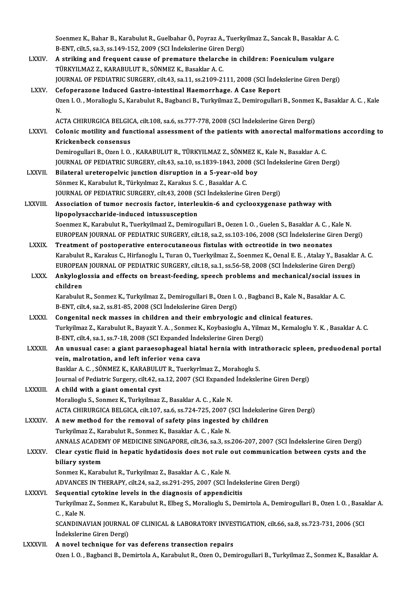Soenmez K., Bahar B., Karabulut R., Guelbahar Ö., Poyraz A., Tuerkyilmaz Z., Sancak B., Basaklar A. C.<br>B. FNT. silt 5, 83,3,84,149,152,2000 (SSL Indekslerine Giren Dergi) Soenmez K., Bahar B., Karabulut R., Guelbahar Ö., Poyraz A., Tuerky<br>B-ENT, cilt.5, sa.3, ss.149-152, 2009 (SCI İndekslerine Giren Dergi)<br>A striking and frequent sause of premature thelanghe in sh Soenmez K., Bahar B., Karabulut R., Guelbahar Ö., Poyraz A., Tuerkyilmaz Z., Sancak B., Basaklar A. (<br>B-ENT, cilt.5, sa.3, ss.149-152, 2009 (SCI İndekslerine Giren Dergi)<br>LXXIV. A striking and frequent cause of premature t

B-ENT, cilt.5, sa.3, ss.149-152, 2009 (SCI İndekslerine Giren Dergi)<br>A striking and frequent cause of premature thelarche in children: Foeniculum vulgare<br>TÜRKYILMAZ Z., KARABULUT R., SÖNMEZ K., Basaklar A. C. JOURNAL OF PEDIATRIC SURGERY, cilt.43, sa.11, ss.2109-2111, 2008 (SCI İndekslerine Giren Dergi) LXXV. Cefoperazone Induced Gastro-intestinal Haemorrhage. A Case Report JOURNAL OF PEDIATRIC SURGERY, cilt.43, sa.11, ss.2109-2111, 2008 (SCI İndekslerine Giren Dergi)<br>Cefoperazone Induced Gastro-intestinal Haemorrhage. A Case Report<br>Ozen I. O. , Moralioglu S., Karabulut R., Bagbanci B., Turky Ce<br>Oz<br>N. Ozen I. O. , Moralioglu S., Karabulut R., Bagbanci B., Turkyilmaz Z., Demirogullari B., Sonmez l<br>N.<br>ACTA CHIRURGICA BELGICA, cilt.108, sa.6, ss.777-778, 2008 (SCI İndekslerine Giren Dergi)<br>Colonis metility and functional a N.<br>ACTA CHIRURGICA BELGICA, cilt.108, sa.6, ss.777-778, 2008 (SCI İndekslerine Giren Dergi)<br>LXXVI. Colonic motility and functional assessment of the patients with anorectal malformations according to<br>Kriskenbeck sensen ACTA CHIRURGICA BELGIC<br>Colonic motility and fun<br>Krickenbeck consensus<br>Domirogullari B. Ogen L.O. Colonic motility and functional assessment of the patients with anorectal malformat<br>Krickenbeck consensus<br>Demirogullari B., Ozen I. O. , KARABULUT R., TÜRKYILMAZ Z., SÖNMEZ K., Kale N., Basaklar A. C.<br>JOUPMAL OF PEDIATRIC Krickenbeck consensus<br>Demirogullari B., Ozen I. O. , KARABULUT R., TÜRKYILMAZ Z., SÖNMEZ K., Kale N., Basaklar A. C.<br>JOURNAL OF PEDIATRIC SURGERY, cilt.43, sa.10, ss.1839-1843, 2008 (SCI İndekslerine Giren Dergi) Demirogullari B., Ozen I. O., KARABULUT R., TÜRKYILMAZ Z., SÖNMEZ H<br>JOURNAL OF PEDIATRIC SURGERY, cilt.43, sa.10, ss.1839-1843, 2008 (S<br>LXXVII. Bilateral ureteropelvic junction disruption in a 5-year-old boy JOURNAL OF PEDIATRIC SURGERY, cilt.43, sa.10, ss.1839-1843, 200<br>Bilateral ureteropelvic junction disruption in a 5-year-old b<br>Sönmez K., Karabulut R., Türkyılmaz Z., Karakus S. C. , Basaklar A. C.<br>JOURNAL OF PEDIATRIC SURG Bilateral ureteropelvic junction disruption in a 5-year-old boy<br>Sönmez K., Karabulut R., Türkyılmaz Z., Karakus S. C. , Basaklar A. C.<br>JOURNAL OF PEDIATRIC SURGERY, cilt.43, 2008 (SCI İndekslerine Giren Dergi)<br>Association Sönmez K., Karabulut R., Türkyılmaz Z., Karakus S. C. , Basaklar A. C.<br>JOURNAL OF PEDIATRIC SURGERY, cilt.43, 2008 (SCI İndekslerine Giren Dergi)<br>LXXVIII. Association of tumor necrosis factor, interleukin-6 and cyclooxygen **JOURNAL OF PEDIATRIC SURGERY, cilt.43, 2008 (S)**<br>Association of tumor necrosis factor, interle<br>lipopolysaccharide-induced intussusception<br>Seenmer K, Karabulut B, Tuorkrilmerl Z, Demires Soenmez K., Karabulut R., Tuerkyilmazl Z., Demirogullari B., Oezen I. O., Guelen S., Basaklar A. C., Kale N. lipopolysaccharide-induced intussusception<br>Soenmez K., Karabulut R., Tuerkyilmazl Z., Demirogullari B., Oezen I. O. , Guelen S., Basaklar A. C. , Kale N.<br>EUROPEAN JOURNAL OF PEDIATRIC SURGERY, cilt.18, sa.2, ss.103-106, 20 Soenmez K., Karabulut R., Tuerkyilmazl Z., Demirogullari B., Oezen I. O., Guelen S., Basaklar A. C., F<br>EUROPEAN JOURNAL OF PEDIATRIC SURGERY, cilt.18, sa.2, ss.103-106, 2008 (SCI Indekslerine Gi<br>LXXIX. Treatment of postope EUROPEAN JOURNAL OF PEDIATRIC SURGERY, cilt.18, sa.2, ss.103-106, 2008 (SCI İndekslerine Giren Dergi)<br>Treatment of postoperative enterocutaneous fistulas with octreotide in two neonates<br>Karabulut R., Karakus C., Hirfanoglu Treatment of postoperative enterocutaneous fistulas with octreotide in two neonates<br>Karabulut R., Karakus C., Hirfanoglu I., Turan O., Tuerkyilmaz Z., Soenmez K., Oenal E. E. , Atalay Y., Basakla<br>EUROPEAN JOURNAL OF PEDIAT Karabulut R., Karakus C., Hirfanoglu I., Turan O., Tuerkyilmaz Z., Soenmez K., Oenal E. E. , Atalay Y., Basaklar<br>EUROPEAN JOURNAL OF PEDIATRIC SURGERY, cilt.18, sa.1, ss.56-58, 2008 (SCI İndekslerine Giren Dergi)<br>LXXX. Ank EUROPEA<br>**Ankylogle**<br>children<br>Karabulut Ankyloglossia and effects on breast-feeding, speech problems and mechanical/social issues in<br>children<br>Karabulut R., Sonmez K., Turkyilmaz Z., Demirogullari B., Ozen I. O. , Bagbanci B., Kale N., Basaklar A. C.<br>B-ENT, cilt. Karabulut R., Sonmez K., Turkyilmaz Z., Demirogullari B., Ozen I. O., Bagbanci B., Kale N., Basaklar A. C. LXXXI. Congenital neck masses in children and their embryologic and clinical features. B-ENT, cilt.4, sa.2, ss.81-85, 2008 (SCI İndekslerine Giren Dergi)<br>Congenital neck masses in children and their embryologic and clinical features.<br>Turkyilmaz Z., Karabulut R., Bayazit Y. A. , Sonmez K., Koybasioglu A., Yil Congenital neck masses in children and their embryologic and cli<br>Turkyilmaz Z., Karabulut R., Bayazit Y. A. , Sonmez K., Koybasioglu A., Yilma<br>B-ENT, cilt.4, sa.1, ss.7-18, 2008 (SCI Expanded İndekslerine Giren Dergi)<br>An u Turkyilmaz Z., Karabulut R., Bayazit Y. A. , Sonmez K., Koybasioglu A., Yilmaz M., Kemaloglu Y. K. , Basaklar A. C.<br>B-ENT, cilt.4, sa.1, ss.7-18, 2008 (SCI Expanded İndekslerine Giren Dergi)<br>LXXXII. An unusual case: a gian B-ENT, cilt.4, sa.1, ss.7-18, 2008 (SCI Expanded Indekslerine Giren Dergi)<br>An unusual case: a giant paraesophageal hiatal hernia with intra<br>vein, malrotation, and left inferior vena cava<br>Basklar A. C. , SÖNMEZ K., KARABULU An unusual case: a giant paraesophageal hiatal hernia with intrathoracic spleen, preduodenal portal Journal of Pediatric Surgery, cilt.42, sa.12, 2007 (SCI Expanded İndekslerine Giren Dergi) LXXXIII. A child with a giant omental cyst Moralioglu S., Sonmez K., Turkyilmaz Z., Basaklar A. C., Kale N. ACTA CHIRURGICA BELGICA, cilt.107, sa.6, ss.724-725, 2007 (SCI İndekslerine Giren Dergi) Moralioglu S., Sonmez K., Turkyilmaz Z., Basaklar A. C., Kale N.<br>ACTA CHIRURGICA BELGICA, cilt.107, sa.6, ss.724-725, 2007 (SCI İndeksleri<br>LXXXIV. A new method for the removal of safety pins ingested by children<br>Turkyilmaz ACTA CHIRURGICA BELGICA, cilt.107, sa.6, ss.724-725, 2007 (<br>A new method for the removal of safety pins ingested<br>Turkyilmaz Z., Karabulut R., Sonmez K., Basaklar A. C. , Kale N.<br>ANNALS ACADEMY OF MEDICINE SINCAROBE silt 26 Turkyilmaz Z., Karabulut R., Sonmez K., Basaklar A. C. , Kale N.<br>ANNALS ACADEMY OF MEDICINE SINGAPORE, cilt.36, sa.3, ss.206-207, 2007 (SCI İndekslerine Giren Dergi) Turkyilmaz Z., Karabulut R., Sonmez K., Basaklar A. C. , Kale N.<br>ANNALS ACADEMY OF MEDICINE SINGAPORE, cilt.36, sa.3, ss.206-207, 2007 (SCI İndekslerine Giren Dergi)<br>LXXXV. Clear cystic fluid in hepatic hydatidosis doe ANNALS ACADEN<br>Clear cystic flui<br>biliary system<br>Sonmer K. Karab Clear cystic fluid in hepatic hydatidosis does not rule<br>biliary system<br>Sonmez K., Karabulut R., Turkyilmaz Z., Basaklar A. C. , Kale N.<br>ADVANCES IN THERAPY citt 24, 82, 82, 82, 205, 2007 (SCLI: biliary system<br>Sonmez K., Karabulut R., Turkyilmaz Z., Basaklar A. C. , Kale N.<br>ADVANCES IN THERAPY, cilt.24, sa.2, ss.291-295, 2007 (SCI İndekslerine Giren Dergi) LXXXVI. Sequential cytokine levels in the diagnosis of appendicitis Turkyilmaz Z., Sonmez K., Karabulut R., Elbeg S., Moralioglu S., Demirtola A., Demirogullari B., Ozen I. O., Basaklar A. C., Kale N. Turkyilmaz Z., Sonmez K., Karabulut R., Elbeg S., Moralioglu S., Demirtola A., Demirogullari B., Ozen I. O. , Basal<br>C. , Kale N.<br>SCANDINAVIAN JOURNAL OF CLINICAL & LABORATORY INVESTIGATION, cilt.66, sa.8, ss.723-731, 2006 C. , Kale N.<br>SCANDINAVIAN JOURNAL<br>İndekslerine Giren Dergi)<br>A noval tashnique for y Indekslerine Giren Dergi)<br>LXXXVII. A novel technique for vas deferens transection repairs Ozen I. O., Bagbanci B., Demirtola A., Karabulut R., Ozen O., Demirogullari B., Turkyilmaz Z., Sonmez K., Basaklar A.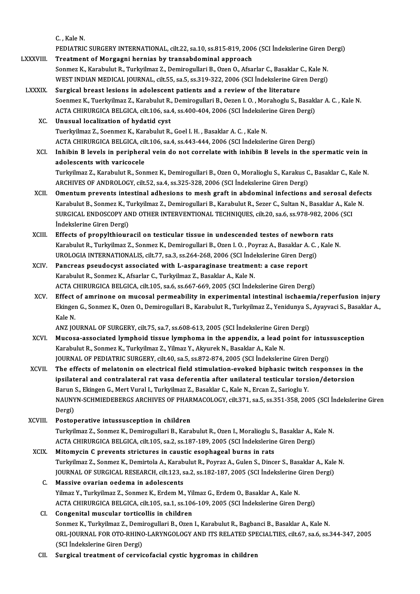C., Kale N.

C. , Kale N.<br>PEDIATRIC SURGERY INTERNATIONAL, cilt.22, sa.10, ss.815-819, 2006 (SCI İndekslerine Giren Dergi)<br>Treatment of Margagni bennias bu transabdeminal annroash C., Kale N.<br>PEDIATRIC SURGERY INTERNATIONAL, cilt.22, sa.10, ss.815-819, 200<br>LXXXVIII. Treatment of Morgagni hernias by transabdominal approach<br>Senmer K. Karabulut B. Turkrilmer 7. Deminegulleri B. Oran O. Afra PEDIATRIC SURGERY INTERNATIONAL, cilt.22, sa.10, ss.815-819, 2006 (SCI İndekslerine Giren I<br>Treatment of Morgagni hernias by transabdominal approach<br>Sonmez K., Karabulut R., Turkyilmaz Z., Demirogullari B., Ozen O., Afsarl Treatment of Morgagni hernias by transabdominal approach<br>Sonmez K., Karabulut R., Turkyilmaz Z., Demirogullari B., Ozen O., Afsarlar C., Basaklar C., Kale N.<br>WEST INDIAN MEDICAL JOURNAL, cilt.55, sa.5, ss.319-322, 2006 (SC LXXXIX. Surgical breast lesions in adolescent patients and a reviewof the literature WEST INDIAN MEDICAL JOURNAL, cilt.55, sa.5, ss.319-322, 2006 (SCI İndekslerine Giren Dergi)<br>Surgical breast lesions in adolescent patients and a review of the literature<br>Soenmez K., Tuerkyilmaz Z., Karabulut R., Demirogull Surgical breast lesions in adolescent patients and a review of the literature<br>Soenmez K., Tuerkyilmaz Z., Karabulut R., Demirogullari B., Oezen I. O. , Morahoglu S., Basakl<br>ACTA CHIRURGICA BELGICA, cilt.106, sa.4, ss.400-4 ACTA CHIRURGICA BELGICA, cilt.106, sa.4, ss.400-404, 2006 (SCI Indekslerine Giren Dergi) XC. Unusual localization of hydatid cyst Tuerkyilmaz Z., Soenmez K., Karabulut R., Goel I.H., Basaklar A.C., Kale N. Unusual localization of hydatid cyst<br>Tuerkyilmaz Z., Soenmez K., Karabulut R., Goel I. H. , Basaklar A. C. , Kale N.<br>ACTA CHIRURGICA BELGICA, cilt.106, sa.4, ss.443-444, 2006 (SCI İndekslerine Giren Dergi)<br>Inhibin B lavels XCI. Inhibin B levels in peripheral vein do not correlate with inhibin B levels in the spermatic vein in ACTA CHIRURGICA BELGICA, cil<br>Inhibin B levels in periphera<br>adolescents with varicocele<br>Turkrilmag Z. Karabulut B. Son Inhibin B levels in peripheral vein do not correlate with inhibin B levels in the spermatic vein in<br>adolescents with varicocele<br>Turkyilmaz Z., Karabulut R., Sonmez K., Demirogullari B., Ozen O., Moralioglu S., Karakus C., adolescents with varicocele<br>Turkyilmaz Z., Karabulut R., Sonmez K., Demirogullari B., Ozen O., Moralioglu S., Karakus C<br>ARCHIVES OF ANDROLOGY, cilt.52, sa.4, ss.325-328, 2006 (SCI İndekslerine Giren Dergi)<br>Omentum prevente Turkyilmaz Z., Karabulut R., Sonmez K., Demirogullari B., Ozen O., Moralioglu S., Karakus C., Basaklar C., Kale N.<br>ARCHIVES OF ANDROLOGY, cilt.52, sa.4, ss.325-328, 2006 (SCI Indekslerine Giren Dergi)<br>XCII. Omentum prevent ARCHIVES OF ANDROLOGY, cilt.52, sa.4, ss.325-328, 2006 (SCI İndekslerine Giren Dergi)<br>Omentum prevents intestinal adhesions to mesh graft in abdominal infections and serosal defections and serosal<br>Karabulut B., Sonmez K., Omentum prevents intestinal adhesions to mesh graft in abdominal infections and serosal de<br>Karabulut B., Sonmez K., Turkyilmaz Z., Demirogullari B., Karabulut R., Sezer C., Sultan N., Basaklar A., Kale<br>SURGICAL ENDOSCOPY A Karabulut B., Sonmez K., Turkyilmaz Z., Demirogullari B., Karabulut R., Sezer C., Sultan N., Basaklar A., Kale N<br>SURGICAL ENDOSCOPY AND OTHER INTERVENTIONAL TECHNIQUES, cilt.20, sa.6, ss.978-982, 2006 (SCI<br>İndekslerine Gir SURGICAL ENDOSCOPY AND OTHER INTERVENTIONAL TECHNIQUES, cilt.20, sa.6, ss.978-982, 200<br>
indekslerine Giren Dergi)<br>
XCIII. Effects of propylthiouracil on testicular tissue in undescended testes of newborn rats<br>
Vanabulut B. Karabulut R., Turkyilmaz Z., Sonmez K., Demirogullari B., Ozen I. O. , Poyraz A., Basaklar A. C. , Kale N.<br>UROLOGIA INTERNATIONALIS, cilt.77, sa.3, ss.264-268, 2006 (SCI İndekslerine Giren Dergi) Effects of propylthiouracil on testicular tissue in undescended testes of newborn<br>Karabulut R., Turkyilmaz Z., Sonmez K., Demirogullari B., Ozen I. O. , Poyraz A., Basaklar A. C.<br>UROLOGIA INTERNATIONALIS, cilt.77, sa.3, ss Karabulut R., Turkyilmaz Z., Sonmez K., Demirogullari B., Ozen I. O., Poyraz A., Basaklar A.<br>UROLOGIA INTERNATIONALIS, cilt.77, sa.3, ss.264-268, 2006 (SCI İndekslerine Giren Der<br>XCIV. Pancreas pseudocyst associated with L UROLOGIA INTERNATIONALIS, cilt.77, sa.3, ss.264-268, 2006 (SCI İnde<br>Pancreas pseudocyst associated with L-asparaginase treatment<br>Karabulut R., Sonmez K., Afsarlar C., Turkyilmaz Z., Basaklar A., Kale N.<br>ACTA CHIBURCICA BEL Pancreas pseudocyst associated with L-asparaginase treatment: a case report<br>Karabulut R., Sonmez K., Afsarlar C., Turkyilmaz Z., Basaklar A., Kale N.<br>ACTA CHIRURGICA BELGICA, cilt.105, sa.6, ss.667-669, 2005 (SCI İndeksler Karabulut R., Sonmez K., Afsarlar C., Turkyilmaz Z., Basaklar A., Kale N.<br>ACTA CHIRURGICA BELGICA, cilt.105, sa.6, ss.667-669, 2005 (SCI İndekslerine Giren Dergi)<br>XCV. Effect of amrinone on mucosal permeability in experime ACTA CHIRURGICA BELGICA, cilt.105, sa.6, ss.667-669, 2005 (SCI İndekslerine Giren Dergi)<br>Effect of amrinone on mucosal permeability in experimental intestinal ischaemia/reperfusion injury<br>Ekingen G., Sonmez K., Ozen O., De Effect<br>Ekinger<br>Kale N Ekingen G., Sonmez K., Ozen O., Demirogullari B., Karabulut R., Turkyilmaz Z., Yenidunya S.,<br>Kale N.<br>ANZ JOURNAL OF SURGERY, cilt.75, sa.7, ss.608-613, 2005 (SCI İndekslerine Giren Dergi)<br>Musese associated lumnhoid tissue XCVI. Mucosa-associated lymphoid tissue lymphoma in the appendix, a lead point for intussusception<br>Karabulut R., Sonmez K., Turkyilmaz Z., Yilmaz Y., Akyurek N., Basaklar A., Kale N. ANZ JOURNAL OF SURGERY, cilt.75, sa.7, ss.608-613, 2005 (SCI İndekslerine Gire<br>Mucosa-associated lymphoid tissue lymphoma in the appendix, a lead p<br>Karabulut R., Sonmez K., Turkyilmaz Z., Yilmaz Y., Akyurek N., Basaklar A. JOURNAL OF PEDIATRIC SURGERY, cilt.40, sa.5, ss.872-874, 2005 (SCI İndekslerine Giren Dergi) Karabulut R., Sonmez K., Turkyilmaz Z., Yilmaz Y., Akyurek N., Basaklar A., Kale N.<br>JOURNAL OF PEDIATRIC SURGERY, cilt.40, sa.5, ss.872-874, 2005 (SCI indekslerine Giren Dergi)<br>XCVII. The effects of melatonin on electrical JOURNAL OF PEDIATRIC SURGERY, cilt.40, sa.5, ss.872-874, 2005 (SCI İndekslerine Giren Dergi)<br>The effects of melatonin on electrical field stimulation-evoked biphasic twitch responses in the<br>ipsilateral and contralateral ra The effects of melatonin on electrical field stimulation-evoked biphasic twitch<br>ipsilateral and contralateral rat vasa deferentia after unilateral testicular tors<br>Barun S., Ekingen G., Mert Vural I., Turkyilmaz Z., Basakla ipsilateral and contralateral rat vasa deferentia after unilateral testicular torsion/detorsion<br>Barun S., Ekingen G., Mert Vural I., Turkyilmaz Z., Basaklar C., Kale N., Ercan Z., Sarioglu Y.<br>NAUNYN-SCHMIEDEBERGS ARCHIVES Barun S., Ekingen G., Mert Vural I., Turkyilmaz Z., Basaklar C., Kale N., Ercan Z., Sarioglu Y. XCVIII. Postoperative intussusception in children Dergi)<br>**Postoperative intussusception in children**<br>Turkyilmaz Z., Sonmez K., Demirogullari B., Karabulut R., Ozen I., Moralioglu S., Basaklar A., Kale N.<br>ACTA CHIPURCICA RELGICA silt 105, se 2, ss 197, 199, 2005 (SCI İndek Postoperative intussusception in children<br>Turkyilmaz Z., Sonmez K., Demirogullari B., Karabulut R., Ozen I., Moralioglu S., Basaklar A., K<br>ACTA CHIRURGICA BELGICA, cilt.105, sa.2, ss.187-189, 2005 (SCI İndekslerine Giren D Turkyilmaz Z., Sonmez K., Demirogullari B., Karabulut R., Ozen I., Moralioglu S.<br>ACTA CHIRURGICA BELGICA, cilt.105, sa.2, ss.187-189, 2005 (SCI İndekslerine<br>XCIX. Mitomycin C prevents strictures in caustic esophageal burns ACTA CHIRURGICA BELGICA, cilt.105, sa.2, ss.187-189, 2005 (SCI İndekslerine Giren Dergi)<br>Mitomycin C prevents strictures in caustic esophageal burns in rats<br>Turkyilmaz Z., Sonmez K., Demirtola A., Karabulut R., Poyraz A., Mitomycin C prevents strictures in caustic esophageal burns in rats<br>Turkyilmaz Z., Sonmez K., Demirtola A., Karabulut R., Poyraz A., Gulen S., Dincer S., Basaklar A., Kale<br>JOURNAL OF SURGICAL RESEARCH, cilt.123, sa.2, ss.1 Turkyilmaz Z., Sonmez K., Demirtola A., Karab<br>JOURNAL OF SURGICAL RESEARCH, cilt.123, s<br>C. Massive ovarian oedema in adolescents<br>Vilmaz V. Turkyilmaz Z. Sonmez K. Erdem M. JOURNAL OF SURGICAL RESEARCH, cilt.123, sa.2, ss.182-187, 2005 (SCI İndekslerine Giren Dergi)<br>C. Massive ovarian oedema in adolescents<br>Yilmaz Y., Turkvilmaz Z., Sonmez K., Erdem M., Yilmaz G., Erdem O., Basaklar A., Kale N ACTA CHIRURGICA BELGICA, cilt.105, sa.1, ss.106-109, 2005 (SCI İndekslerine Giren Dergi) CI. Congenital muscular torticollis in children ACTA CHIRURGICA BELGICA, cilt.105, sa.1, ss.106-109, 2005 (SCI İndekslerine Giren Dergi)<br>Congenital muscular torticollis in children<br>Sonmez K., Turkyilmaz Z., Demirogullari B., Ozen I., Karabulut R., Bagbanci B., Basaklar ORL-JOURNAL FOR OTO-RHINO-LARYNGOLOGY AND ITS RELATED SPECIALTIES, cilt.67, sa.6, ss.344-347, 2005<br>(SCI İndekslerine Giren Dergi) Sonmez K., Turkyilmaz Z., Demi<br>ORL-JOURNAL FOR OTO-RHINC<br>(SCI İndekslerine Giren Dergi)<br>Sungical traatmant of canvic CII. Surgical treatment of cervicofacial cystic hygromas in children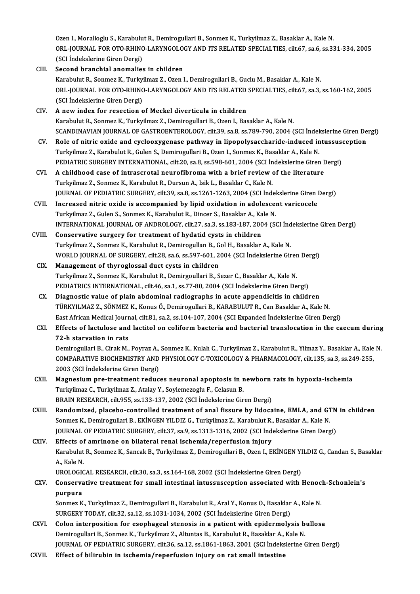Ozen I., Moralioglu S., Karabulut R., Demirogullari B., Sonmez K., Turkyilmaz Z., Basaklar A., Kale N.<br>ORL JOURNAL FOR OTO RHINO LARVNCOLOCY AND ITS RELATED SRECIALTIES, silt 67, sa 6, sa 33 ORL-JOURNAL FOR OTO-RHINO-LARYNGOLOGY AND ITS RELATED SPECIALTIES, cilt.67, sa.6, ss.331-334, 2005<br>(SCI İndekslerine Giren Dergi) Ozen I., Moralioglu S., Karabulu<br>ORL-JOURNAL FOR OTO-RHINC<br>(SCI İndekslerine Giren Dergi)<br>Second branchial anomalies

- CIII. Second branchial anomalies in children (SCI İndekslerine Giren Dergi)<br>Second branchial anomalies in children<br>Karabulut R., Sonmez K., Turkyilmaz Z., Ozen I., Demirogullari B., Guclu M., Basaklar A., Kale N.<br>ORL JOURNAL FOR OTO RHINO LARYNCOLOCY AND ITS RELATED Second branchial anomalies in children<br>Karabulut R., Sonmez K., Turkyilmaz Z., Ozen I., Demirogullari B., Guclu M., Basaklar A., Kale N.<br>ORL-JOURNAL FOR OTO-RHINO-LARYNGOLOGY AND ITS RELATED SPECIALTIES, cilt.67, sa.3, ss. Karabulut R., Sonmez K., Turky<br>ORL-JOURNAL FOR OTO-RHINC<br>(SCI İndekslerine Giren Dergi)<br>A now indox for resection o ORL-JOURNAL FOR OTO-RHINO-LARYNGOLOGY AND ITS RELATED<br>(SCI Indekslerine Giren Dergi)<br>CIV. A new index for resection of Meckel diverticula in children<br>Karabulut B. Sonmar K. Turkrilmar Z. Dominagullari B. Oran J. Bas (SCI İndekslerine Giren Dergi)<br>**A new index for resection of Meckel diverticula in children**<br>Karabulut R., Sonmez K., Turkyilmaz Z., Demirogullari B., Ozen I., Basaklar A., Kale N. A new index for resection of Meckel diverticula in children<br>Karabulut R., Sonmez K., Turkyilmaz Z., Demirogullari B., Ozen I., Basaklar A., Kale N.<br>SCANDINAVIAN JOURNAL OF GASTROENTEROLOGY, cilt.39, sa.8, ss.789-790, 2004 Karabulut R., Sonmez K., Turkyilmaz Z., Demirogullari B., Ozen I., Basaklar A., Kale N.<br>SCANDINAVIAN JOURNAL OF GASTROENTEROLOGY, cilt.39, sa.8, ss.789-790, 2004 (SCI İndekslerine Giren De<br>CV. Role of nitric oxide and cycl SCANDINAVIAN JOURNAL OF GASTROENTEROLOGY, cilt.39, sa.8, ss.789-790, 2004 (SCI İndel<br>Role of nitric oxide and cyclooxygenase pathway in lipopolysaccharide-induced in<br>Turkyilmaz Z., Karabulut R., Gulen S., Demirogullari B., Role of nitric oxide and cyclooxygenase pathway in lipopolysaccharide-induced intussusception<br>Turkyilmaz Z., Karabulut R., Gulen S., Demirogullari B., Ozen I., Sonmez K., Basaklar A., Kale N.<br>PEDIATRIC SURGERY INTERNATIONA Turkyilmaz Z., Karabulut R., Gulen S., Demirogullari B., Ozen I., Sonmez K., Basaklar A., Kale N.<br>PEDIATRIC SURGERY INTERNATIONAL, cilt.20, sa.8, ss.598-601, 2004 (SCI İndekslerine Giren I<br>CVI. A childhood case of intrascr Turkyilmaz Z., Sonmez K., Karabulut R., Dursun A., Isik L., Basaklar C., Kale N.<br>JOURNAL OF PEDIATRIC SURGERY, cilt.39, sa.8, ss.1261-1263, 2004 (SCI İndekslerine Giren Dergi) A childhood case of intrascrotal neurofibroma with a brief review of the literature<br>Turkyilmaz Z., Sonmez K., Karabulut R., Dursun A., Isik L., Basaklar C., Kale N.<br>JOURNAL OF PEDIATRIC SURGERY, cilt.39, sa.8, ss.1261-1263 Turkyilmaz Z., Sonmez K., Karabulut R., Dursun A., Isik L., Basaklar C., Kale N.<br>JOURNAL OF PEDIATRIC SURGERY, cilt.39, sa.8, ss.1261-1263, 2004 (SCI Indekslerine Giren I<br>CVII. Increased nitric oxide is accompanied by lipi JOURNAL OF PEDIATRIC SURGERY, cilt.39, sa.8, ss.1261-1263, 2004 (SCI İndel<br>Increased nitric oxide is accompanied by lipid oxidation in adolesce:<br>Turkyilmaz Z., Gulen S., Sonmez K., Karabulut R., Dincer S., Basaklar A., Kal Increased nitric oxide is accompanied by lipid oxidation in adolescent varicocele<br>Turkyilmaz Z., Gulen S., Sonmez K., Karabulut R., Dincer S., Basaklar A., Kale N.<br>INTERNATIONAL JOURNAL OF ANDROLOGY, cilt.27, sa.3, ss.183-Turkyilmaz Z., Gulen S., Sonmez K., Karabulut R., Dincer S., Basaklar A., Ka<br>INTERNATIONAL JOURNAL OF ANDROLOGY, cilt.27, sa.3, ss.183-187, 200<br>CVIII. Conservative surgery for treatment of hydatid cysts in children<br>Turkilm INTERNATIONAL JOURNAL OF ANDROLOGY, cilt.27, sa.3, ss.183-187, 2004 (SCI Ind<br>Conservative surgery for treatment of hydatid cysts in children<br>Turkyilmaz Z., Sonmez K., Karabulut R., Demirogullan B., Gol H., Basaklar A., Kal Conservative surgery for treatment of hydatid cysts in children<br>Turkyilmaz Z., Sonmez K., Karabulut R., Demirogullan B., Gol H., Basaklar A., Kale N.<br>WORLD JOURNAL OF SURGERY, cilt.28, sa.6, ss.597-601, 2004 (SCI İndeksler CIX. Management of thyroglossal duct cysts in children Turkyilmaz Z., Sonmez K., Karabulut R., Demirgoullari B., Sezer C., Basaklar A., Kale N. Management of thyroglossal duct cysts in children<br>Turkyilmaz Z., Sonmez K., Karabulut R., Demirgoullari B., Sezer C., Basaklar A., Kale N.<br>PEDIATRICS INTERNATIONAL, cilt.46, sa.1, ss.77-80, 2004 (SCI İndekslerine Giren Der Turkyilmaz Z., Sonmez K., Karabulut R., Demirgoullari B., Sezer C., Basaklar A., Kale N.<br>PEDIATRICS INTERNATIONAL, cilt.46, sa.1, ss.77-80, 2004 (SCI İndekslerine Giren Dergi)<br>CX. Diagnostic value of plain abdominal radiog Diagnostic value of plain abdominal radiographs in acute appendicitis in children<br>TÜRKYILMAZ Z., SÖNMEZ K., Konus Ö., Demirogullari B., KARABULUT R., Can Basaklar A., Kale N. EastAfricanMedical Journal, cilt.81, sa.2, ss.104-107,2004 (SCIExpanded İndekslerineGirenDergi) TÜRKYILMAZ Z., SÖNMEZ K., Konus Ö., Demirogullari B., KARABULUT R., Can Basaklar A., Kale N.<br>East African Medical Journal, cilt.81, sa.2, ss.104-107, 2004 (SCI Expanded Indekslerine Giren Dergi)<br>CXI. Effects of lactulose a East African Medical Journ<br>Effects of lactulose and<br>72-h starvation in rats<br>Dominogullari B. Girok M Effects of lactulose and lactitol on coliform bacteria and bacterial translocation in the caecum during<br>72-h starvation in rats<br>Demirogullari B., Cirak M., Poyraz A., Sonmez K., Kulah C., Turkyilmaz Z., Karabulut R., Yilma 72-h starvation in rats<br>Demirogullari B., Cirak M., Poyraz A., Sonmez K., Kulah C., Turkyilmaz Z., Karabulut R., Yilmaz Y., Basaklar A., Kale<br>COMPARATIVE BIOCHEMISTRY AND PHYSIOLOGY C-TOXICOLOGY & PHARMACOLOGY, cilt.135, s Demirogullari B., Cirak M., Poyraz A.,<br>COMPARATIVE BIOCHEMISTRY AND<br>2003 (SCI İndekslerine Giren Dergi)<br>Magnasium nua trastmant radua COMPARATIVE BIOCHEMISTRY AND PHYSIOLOGY C-TOXICOLOGY & PHARMACOLOGY, cilt.135, sa.3, ss.24<br>2003 (SCI İndekslerine Giren Dergi)<br>CXII. Magnesium pre-treatment reduces neuronal apoptosis in newborn rats in hypoxia-ischemia<br>Tu 2003 (SCI İndekslerine Giren Dergi)<br>Magnesium pre-treatment reduces neuronal apoptosis in newborn<br>Turkyilmaz C., Turkyilmaz Z., Atalay Y., Soylemezoglu F., Celasun B.<br>BRAIN RESEARCH, cilt.955, ss.133-137, 2002 (SCI İndeksl Magnesium pre-treatment reduces neuronal apoptosis in newborn rats in hypoxia-ischemia CXIII. Randomized, placebo-controlled treatment of anal fissure by lidocaine, EMLA, and GTN in children BRAIN RESEARCH, cilt.955, ss.133-137, 2002 (SCI İndekslerine Giren Dergi)<br>Randomized, placebo-controlled treatment of anal fissure by lidocaine, EMLA, and G1<br>Sonmez K., Demirogullari B., EKİNGEN YILDIZ G., Turkyilmaz Z., K Randomized, placebo-controlled treatment of anal fissure by lidocaine, EMLA, and GTN<br>Sonmez K., Demirogullari B., EKİNGEN YILDIZ G., Turkyilmaz Z., Karabulut R., Basaklar A., Kale N.<br>JOURNAL OF PEDIATRIC SURGERY, cilt.37, Sonmez K., Demirogullari B., EKİNGEN YILDIZ G., Turkyilmaz Z., Karabulut R.,<br>JOURNAL OF PEDIATRIC SURGERY, cilt.37, sa.9, ss.1313-1316, 2002 (SCI İnde<br>CXIV. Effects of amrinone on bilateral renal ischemia/reperfusion injur JOURNAL OF PEDIATRIC SURGERY, cilt.37, sa.9, ss.1313-1316, 2002 (SCI İndekslerine Giren Dergi)<br><mark>Effects of amrinone on bilateral renal ischemia/reperfusion injury</mark><br>Karabulut R., Sonmez K., Sancak B., Turkyilmaz Z., Demirog Effects of<br>Karabulut<br>A., Kale N.<br>UPOLOCIC Karabulut R., Sonmez K., Sancak B., Turkyilmaz Z., Demirogullari B., Ozen I., EKİNGEN YI<br>A., Kale N.<br>UROLOGICAL RESEARCH, cilt.30, sa.3, ss.164-168, 2002 (SCI İndekslerine Giren Dergi)<br>Consequentive treatment for small int A., Kale N.<br>UROLOGICAL RESEARCH, cilt.30, sa.3, ss.164-168, 2002 (SCI İndekslerine Giren Dergi)<br>CXV. Conservative treatment for small intestinal intussusception associated with Henoch-Schonlein's<br>nurnurs UROLOGIO<br>Conserva<br>purpura<br>Sonmez K Conservative treatment for small intestinal intussusception associated with Henoc<br>purpura<br>Sonmez K., Turkyilmaz Z., Demirogullari B., Karabulut R., Aral Y., Konus O., Basaklar A., Kale N.<br>SURCERY TODAY. silt 22, 89.12, ss. purpura<br>Sonmez K., Turkyilmaz Z., Demirogullari B., Karabulut R., Aral Y., Konus O., Basaklar A., Kale N.<br>SURGERY TODAY, cilt.32, sa.12, ss.1031-1034, 2002 (SCI İndekslerine Giren Dergi) Sonmez K., Turkyilmaz Z., Demirogullari B., Karabulut R., Aral Y., Konus O., Basaklar A., Kale N.<br>SURGERY TODAY, cilt.32, sa.12, ss.1031-1034, 2002 (SCI İndekslerine Giren Dergi)<br>CXVI. Colon interposition for esophageal st SURGERY TODAY, cilt.32, sa.12, ss.1031-1034, 2002 (SCI İndekslerine Giren Dergi)<br>Colon interposition for esophageal stenosis in a patient with epidermolysis b<br>Demirogullari B., Sonmez K., Turkyilmaz Z., Altuntas B., Karabu Demirogullari B., Sonmez K., Turkyilmaz Z., Altuntas B., Karabulut R., Basaklar A., Kale N.<br>JOURNAL OF PEDIATRIC SURGERY, cilt.36, sa.12, ss.1861-1863, 2001 (SCI İndekslerine Giren Dergi)
- CXVII. Effect of bilirubin in ischemia/reperfusion injury on rat small intestine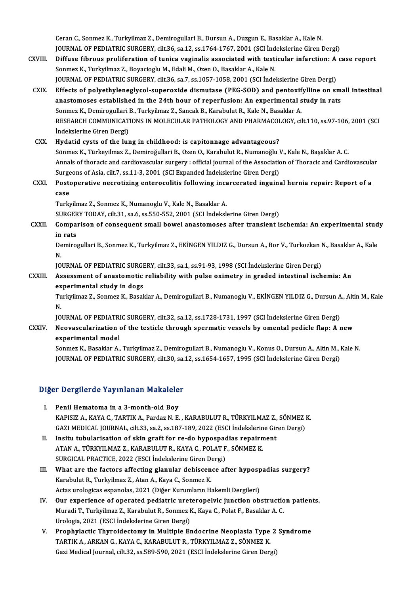Ceran C., Sonmez K., Turkyilmaz Z., Demirogullari B., Dursun A., Duzgun E., Basaklar A., Kale N.<br>JOUPNAL OF PEDIATRIC SURCERY, silt 26, sa 12, sa 1764, 1767, 2001, (SCL Indekslaring Giron I Ceran C., Sonmez K., Turkyilmaz Z., Demirogullari B., Dursun A., Duzgun E., Basaklar A., Kale N.<br>JOURNAL OF PEDIATRIC SURGERY, cilt.36, sa.12, ss.1764-1767, 2001 (SCI İndekslerine Giren Dergi)<br>Diffuse fihneye preliferation JOURNAL OF PEDIATRIC SURGERY, cilt.36, sa.12, ss.1764-1767, 2001 (SCI Indekslerine Giren Dergi)

- CXVIII. Diffuse fibrous proliferation of tunica vaginalis associated with testicular infarction: A case report<br>Sonmez K., Turkyilmaz Z., Boyacioglu M., Edali M., Ozen O., Basaklar A., Kale N. JOURNAL OF PEDIATRIC SURGERY, cilt.36, sa.7, ss.1057-1058, 2001 (SCI İndekslerine Giren Dergi) Sonmez K., Turkyilmaz Z., Boyacioglu M., Edali M., Ozen O., Basaklar A., Kale N.<br>JOURNAL OF PEDIATRIC SURGERY, cilt.36, sa.7, ss.1057-1058, 2001 (SCI Indekslerine Giren Dergi)<br>CXIX. Effects of polyethyleneglycol-superoxide
	- JOURNAL OF PEDIATRIC SURGERY, cilt.36, sa.7, ss.1057-1058, 2001 (SCI Indekslerine Giren Dergi)<br>Effects of polyethyleneglycol-superoxide dismutase (PEG-SOD) and pentoxifylline on sma<br>anastomoses established in the 24th hour anastomoses established in the 24th hour of reperfusion: An experimental study in rats<br>Sonmez K., Demirogullari B., Turkyilmaz Z., Sancak B., Karabulut R., Kale N., Basaklar A. anastomoses established in the 24th hour of reperfusion: An experimental study in rats<br>Sonmez K., Demirogullari B., Turkyilmaz Z., Sancak B., Karabulut R., Kale N., Basaklar A.<br>RESEARCH COMMUNICATIONS IN MOLECULAR PATHOLOG Sonmez K., Demirogullari<br>RESEARCH COMMUNICAT<br>İndekslerine Giren Dergi)<br>Hudatid avata of the lur

CXX. Hydatid cysts of the lung in childhood: is capitonnage advantageous? Sönmez K., Türkeyilmaz Z., Demiroğullari B., Ozen O., Karabulut R., Numanoğlu V., Kale N., Başaklar A. C. Annals of thoracic and cardiovascular surgery : official journal of the Association of Thoracic and Cardiovascular Sönmez K., Türkeyilmaz Z., Demiroğullari B., Ozen O., Karabulut R., Numanoğlu V<br>Annals of thoracic and cardiovascular surgery : official journal of the Associatic<br>Surgeons of Asia, cilt.7, ss.11-3, 2001 (SCI Expanded İndek Annals of thoracic and cardiovascular surgery : official journal of the Association of Thoracic and Cardiovascula<br>Surgeons of Asia, cilt.7, ss.11-3, 2001 (SCI Expanded Indekslerine Giren Dergi)<br>CXXI. Postoperative necrotiz

Surge<br>Posto<br>case<br>Turk Postoperative necrotizing enterocolitis following inca<br>case<br>Turkyilmaz Z., Sonmez K., Numanoglu V., Kale N., Basaklar A.<br>SURCERY TODAY, silt 21, 82 6, 83 550, 552, 2001, (SCI İndekal case<br>Turkyilmaz Z., Sonmez K., Numanoglu V., Kale N., Basaklar A.<br>SURGERY TODAY, cilt.31, sa.6, ss.550-552, 2001 (SCI İndekslerine Giren Dergi)

Turkyilmaz Z., Sonmez K., Numanoglu V., Kale N., Basaklar A.<br>SURGERY TODAY, cilt.31, sa.6, ss.550-552, 2001 (SCI İndekslerine Giren Dergi)<br>CXXII. Comparison of consequent small bowel anastomoses after transient ischemi SURGER<br>Compa:<br>in rats Comparison of consequent small bowel anastomoses after transient ischemia: An experimental stud<br>in rats<br>Demirogullari B., Sonmez K., Turkyilmaz Z., EKİNGEN YILDIZ G., Dursun A., Bor V., Turkozkan N., Basaklar A., Kale<br><sup>N</sup>

in<br>De<br>N. Demirogullari B., Sonmez K., Turkyilmaz Z., EKİNGEN YILDIZ G., Dursun A., Bor V., Turkozkan I<br>N.<br>JOURNAL OF PEDIATRIC SURGERY, cilt.33, sa.1, ss.91-93, 1998 (SCI İndekslerine Giren Dergi)<br>Assessment of anastemetis reliabil

## N.<br>JOURNAL OF PEDIATRIC SURGERY, cilt.33, sa.1, ss.91-93, 1998 (SCI Indekslerine Giren Dergi)<br>CXXIII. Assessment of anastomotic reliability with pulse oximetry in graded intestinal ischemia: An<br>experimental study in dogs JOURNAL OF PEDIATRIC SURGE<br>Assessment of anastomotic<br>experimental study in dogs<br>Turkrilmer 7, Sonmer K, Besel Assessment of anastomotic reliability with pulse oximetry in graded intestinal ischemia: An<br>experimental study in dogs<br>Turkyilmaz Z., Sonmez K., Basaklar A., Demirogullari B., Numanoglu V., EKİNGEN YILDIZ G., Dursun A., Al

ex<br>Tu<br>N. Turkyilmaz Z., Sonmez K., Basaklar A., Demirogullari B., Numanoglu V., EKİNGEN YILDIZ G., Dursun A<br>N.<br>JOURNAL OF PEDIATRIC SURGERY, cilt.32, sa.12, ss.1728-1731, 1997 (SCI İndekslerine Giren Dergi)<br>Neovasaylarization of th

## N.<br>JOURNAL OF PEDIATRIC SURGERY, cilt.32, sa.12, ss.1728-1731, 1997 (SCI İndekslerine Giren Dergi)<br>CXXIV. Neovascularization of the testicle through spermatic vessels by omental pedicle flap: A new<br> **JOURNAL OF PEDIATR<br>Neovascularization<br>experimental model<br>Sonmer K. Beseldar A** Neovascularization of the testicle through spermatic vessels by omental pedicle flap: A new<br>experimental model<br>Sonmez K., Basaklar A., Turkyilmaz Z., Demirogullari B., Numanoglu V., Konus O., Dursun A., Altin M., Kale N.<br>J

experimental model<br>Sonmez K., Basaklar A., Turkyilmaz Z., Demirogullari B., Numanoglu V., Konus O., Dursun A., Altin M., Kale N.<br>JOURNAL OF PEDIATRIC SURGERY, cilt.30, sa.12, ss.1654-1657, 1995 (SCI İndekslerine Giren Derg

# JOOKNAL OF PEDIATRIC SORGERT, CIIC.30, Sa.<br>Diğer Dergilerde Yayınlanan Makaleler

- Iger Dergilerde Yayınlanan Makalele<br>I. Penil Hematoma in a 3-month-old Boy<br>KAPISIZ A KAVA G TAPTIKA Pardar N E I. Penil Hematoma in a 3-month-old Boy<br>KAPISIZ A., KAYA C., TARTIK A., Pardaz N. E., KARABULUT R., TÜRKYILMAZ Z., SÖNMEZ K. Penil Hematoma in a 3-month-old Boy<br>KAPISIZ A., KAYA C., TARTIK A., Pardaz N. E. , KARABULUT R., TÜRKYILMAZ Z., SÖNMEZ I<br>GAZI MEDICAL JOURNAL, cilt.33, sa.2, ss.187-189, 2022 (ESCI İndekslerine Giren Dergi)<br>Insitu tubulari KAPISIZ A., KAYA C., TARTIK A., Pardaz N. E., KARABULUT R., TÜRKYILMAZ Z.,<br>GAZI MEDICAL JOURNAL, cilt.33, sa.2, ss.187-189, 2022 (ESCI İndekslerine Gir<br>II. Insitu tubularisation of skin graft for re-do hypospadias repairme
- GAZI MEDICAL JOURNAL, cilt.33, sa.2, ss.187-189, 2022 (ESCI İndekslerin<br>Insitu tubularisation of skin graft for re-do hypospadias repairm<br>ATAN A., TÜRKYILMAZ Z., KARABULUT R., KAYA C., POLAT F., SÖNMEZ K.<br>SURCICAL PRACTICE Insitu tubularisation of skin graft for re-do hypospack<br>ATAN A., TÜRKYILMAZ Z., KARABULUT R., KAYA C., POLAT F<br>SURGICAL PRACTICE, 2022 (ESCI İndekslerine Giren Dergi)<br>What are the factors affecting glapular debissense af ATAN A., TÜRKYILMAZ Z., KARABULUT R., KAYA C., POLAT F., SÖNMEZ K.<br>SURGICAL PRACTICE, 2022 (ESCI Indekslerine Giren Dergi)<br>III. What are the factors affecting glanular dehiscence after hypospadias surgery?<br>Karabulut B. Tu
- SURGICAL PRACTICE, 2022 (ESCI Indekslerine Giren Dergi)<br>III. What are the factors affecting glanular dehiscence after hypospadias surgery?<br>Karabulut R., Turkyilmaz Z., Atan A., Kaya C., Sonmez K. Actas urologicas espanolas, 2021 (Diğer Kurumların Hakemli Dergileri)
- IV. Our experience of operated pediatric ureteropelvic junction obstruction patients. Actas urologicas espanolas, 2021 (Diğer Kurumların Hakemli Dergileri)<br>**Our experience of operated pediatric ureteropelvic junction obstructio**<br>Muradi T., Turkyilmaz Z., Karabulut R., Sonmez K., Kaya C., Polat F., Basaklar Our experience of operated pediatric uret<br>Muradi T., Turkyilmaz Z., Karabulut R., Sonmez I<br>Urologia, 2021 (ESCI İndekslerine Giren Dergi)<br>Prenhylastis Thunaidestamu in Multinle Fr Muradi T., Turkyilmaz Z., Karabulut R., Sonmez K., Kaya C., Polat F., Basaklar A. C.<br>Urologia, 2021 (ESCI İndekslerine Giren Dergi)<br>V. Prophylactic Thyroidectomy in Multiple Endocrine Neoplasia Type 2 Syndrome<br>TARTIK A. AR
- Urologia, 2021 (ESCI İndekslerine Giren Dergi)<br><mark>Prophylactic Thyroidectomy in Multiple Endocrine Neoplasia Type</mark><br>TARTIK A., ARKAN G., KAYA C., KARABULUT R., TÜRKYILMAZ Z., SÖNMEZ K.<br>Ceri Medisel Journal, silt 33, se 590, 5 Prophylactic Thyroidectomy in Multiple Endocrine Neoplasia Type 2<br>TARTIK A., ARKAN G., KAYA C., KARABULUT R., TÜRKYILMAZ Z., SÖNMEZ K.<br>Gazi Medical Journal, cilt.32, ss.589-590, 2021 (ESCI İndekslerine Giren Dergi)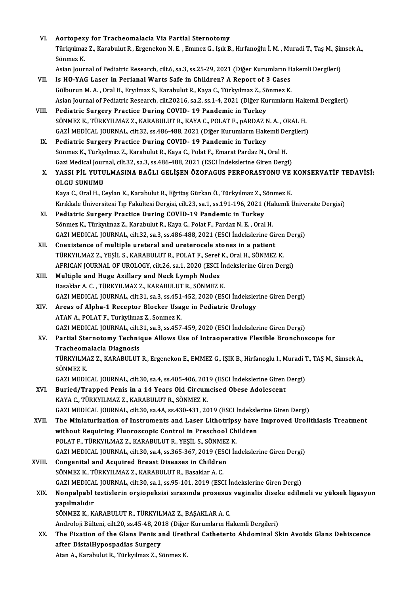| VI.    | Aortopexy for Tracheomalacia Via Partial Sternotomy                                                                                                                       |
|--------|---------------------------------------------------------------------------------------------------------------------------------------------------------------------------|
|        | Türkyılmaz Z., Karabulut R., Ergenekon N. E. , Emmez G., Işık B., Hırfanoğlu İ. M. , Muradi T., Taş M., Şimsek A.,                                                        |
|        | Sönmez K                                                                                                                                                                  |
|        | Asian Journal of Pediatric Research, cilt.6, sa.3, ss.25-29, 2021 (Diğer Kurumların Hakemli Dergileri)                                                                    |
| VII.   | Is HO-YAG Laser in Perianal Warts Safe in Children? A Report of 3 Cases                                                                                                   |
|        | Gülburun M. A., Oral H., Eryılmaz S., Karabulut R., Kaya C., Türkyılmaz Z., Sönmez K.                                                                                     |
|        | Asian Journal of Pediatric Research, cilt.20216, sa.2, ss.1-4, 2021 (Diğer Kurumların Hakemli Dergileri)                                                                  |
| VIII.  | Pediatric Surgery Practice During COVID-19 Pandemic in Turkey                                                                                                             |
|        | SÖNMEZ K., TÜRKYILMAZ Z., KARABULUT R., KAYA C., POLAT F., pARDAZ N. A., ORAL H.                                                                                          |
|        | GAZİ MEDİCAL JOURNAL, cilt.32, ss.486-488, 2021 (Diğer Kurumların Hakemli Dergileri)                                                                                      |
| IX.    | Pediatric Surgery Practice During COVID-19 Pandemic in Turkey                                                                                                             |
|        | Sönmez K., Türkyılmaz Z., Karabulut R., Kaya C., Polat F., Emarat Pardaz N., Oral H.                                                                                      |
|        | Gazi Medical Journal, cilt.32, sa.3, ss.486-488, 2021 (ESCI İndekslerine Giren Dergi)                                                                                     |
| X.     | YASSI PİL YUTULMASINA BAĞLI GELİŞEN ÖZOFAGUS PERFORASYONU VE KONSERVATİF TEDAVİSİ:                                                                                        |
|        | <b>OLGU SUNUMU</b>                                                                                                                                                        |
|        | Kaya C., Oral H., Ceylan K., Karabulut R., Eğritaş Gürkan Ö., Türkyılmaz Z., Sönmez K.                                                                                    |
|        | Kırıkkale Üniversitesi Tıp Fakültesi Dergisi, cilt.23, sa.1, ss.191-196, 2021 (Hakemli Üniversite Dergisi)                                                                |
| XI.    | Pediatric Surgery Practice During COVID-19 Pandemic in Turkey                                                                                                             |
|        | Sönmez K., Türkyılmaz Z., Karabulut R., Kaya C., Polat F., Pardaz N. E., Oral H.<br>GAZI MEDICAL JOURNAL, cilt.32, sa.3, ss.486-488, 2021 (ESCI İndekslerine Giren Dergi) |
| XII.   | Coexistence of multiple ureteral and ureterocele stones in a patient                                                                                                      |
|        | TÜRKYILMAZ Z., YEŞİL S., KARABULUT R., POLAT F., Seref K., Oral H., SÖNMEZ K.                                                                                             |
|        | AFRICAN JOURNAL OF UROLOGY, cilt.26, sa.1, 2020 (ESCI Indekslerine Giren Dergi)                                                                                           |
| XIII.  | Multiple and Huge Axillary and Neck Lymph Nodes                                                                                                                           |
|        | Basaklar A. C., TÜRKYILMAZ Z., KARABULUT R., SÖNMEZ K.                                                                                                                    |
|        | GAZI MEDICAL JOURNAL, cilt.31, sa.3, ss.451-452, 2020 (ESCI İndekslerine Giren Dergi)                                                                                     |
| XIV.   | Areas of Alpha-1 Receptor Blocker Usage in Pediatric Urology                                                                                                              |
|        | ATAN A., POLAT F., Turkyilmaz Z., Sonmez K.                                                                                                                               |
|        | GAZI MEDICAL JOURNAL, cilt.31, sa.3, ss.457-459, 2020 (ESCI İndekslerine Giren Dergi)                                                                                     |
| XV.    | Partial Sternotomy Technique Allows Use of Intraoperative Flexible Bronchoscope for                                                                                       |
|        | Tracheomalacia Diagnosis                                                                                                                                                  |
|        | TÜRKYILMAZ Z., KARABULUT R., Ergenekon E., EMMEZ G., IŞIK B., Hirfanoglu I., Muradi T., TAŞ M., Simsek A.,                                                                |
|        | SÖNMEZ K                                                                                                                                                                  |
|        | GAZI MEDICAL JOURNAL, cilt.30, sa.4, ss.405-406, 2019 (ESCI Indekslerine Giren Dergi)                                                                                     |
| XVI.   | Buried/Trapped Penis in a 14 Years Old Circumcised Obese Adolescent                                                                                                       |
|        | KAYA C., TÜRKYILMAZ Z., KARABULUT R., SÖNMEZ K.                                                                                                                           |
|        | GAZI MEDICAL JOURNAL, cilt.30, sa.4A, ss.430-431, 2019 (ESCI İndekslerine Giren Dergi)                                                                                    |
| XVII.  | The Miniaturization of Instruments and Laser Lithotripsy have Improved Urolithiasis Treatment                                                                             |
|        | without Requiring Fluoroscopic Control in Preschool Children                                                                                                              |
|        | POLAT F., TÜRKYILMAZ Z., KARABULUT R., YEŞİL S., SÖNMEZ K.                                                                                                                |
|        | GAZI MEDICAL JOURNAL, cilt.30, sa.4, ss.365-367, 2019 (ESCI İndekslerine Giren Dergi)                                                                                     |
| XVIII. | Congenital and Acquired Breast Diseases in Children<br>SÖNMEZ K., TÜRKYILMAZ Z., KARABULUT R., Basaklar A. C.                                                             |
|        | GAZI MEDICAL JOURNAL, cilt.30, sa.1, ss.95-101, 2019 (ESCI Indekslerine Giren Dergi)                                                                                      |
| XIX.   | Nonpalpabl testislerin orşiopeksisi sırasında prosesus vaginalis diseke edilmeli ve yüksek ligasyon                                                                       |
|        | yapılmalıdır                                                                                                                                                              |
|        | SÖNMEZ K., KARABULUT R., TÜRKYILMAZ Z., BAŞAKLAR A. C.                                                                                                                    |
|        | Androloji Bülteni, cilt.20, ss.45-48, 2018 (Diğer Kurumların Hakemli Dergileri)                                                                                           |
| XX.    | The Fixation of the Glans Penis and Urethral Catheterto Abdominal Skin Avoids Glans Dehiscence                                                                            |
|        | after DistalHypospadias Surgery                                                                                                                                           |
|        | Atan A., Karabulut R., Türkyılmaz Z., Sönmez K.                                                                                                                           |
|        |                                                                                                                                                                           |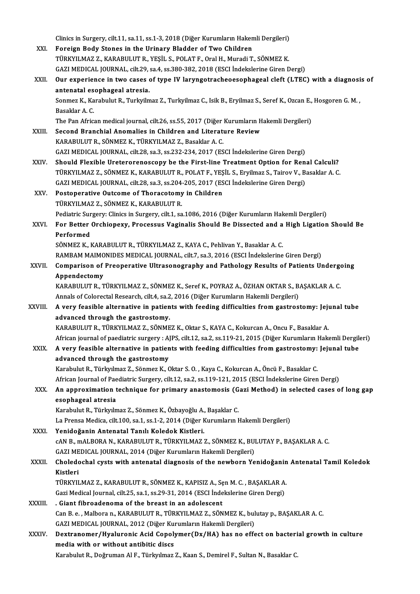|         | Clinics in Surgery, cilt.11, sa.11, ss.1-3, 2018 (Diğer Kurumların Hakemli Dergileri)                             |
|---------|-------------------------------------------------------------------------------------------------------------------|
| XXI.    | Foreign Body Stones in the Urinary Bladder of Two Children                                                        |
|         | TÜRKYILMAZ Z., KARABULUT R., YEŞİL S., POLAT F., Oral H., Muradi T., SÖNMEZ K.                                    |
|         | GAZI MEDICAL JOURNAL, cilt.29, sa.4, ss.380-382, 2018 (ESCI İndekslerine Giren Dergi)                             |
| XXII.   | Our experience in two cases of type IV laryngotracheoesophageal cleft (LTEC) with a diagnosis of                  |
|         | antenatal esophageal atresia.                                                                                     |
|         | Sonmez K., Karabulut R., Turkyilmaz Z., Turkyilmaz C., Isik B., Eryilmaz S., Seref K., Ozcan E., Hosgoren G. M.,  |
|         | Basaklar A C.                                                                                                     |
|         | The Pan African medical journal, cilt.26, ss.55, 2017 (Diğer Kurumların Hakemli Dergileri)                        |
| XXIII.  | Second Branchial Anomalies in Children and Literature Review                                                      |
|         | KARABULUT R., SÖNMEZ K., TÜRKYILMAZ Z., Basaklar A. C.                                                            |
|         | GAZI MEDICAL JOURNAL, cilt.28, sa.3, ss.232-234, 2017 (ESCI İndekslerine Giren Dergi)                             |
| XXIV    | Should Flexible Ureterorenoscopy be the First-line Treatment Option for Renal Calculi?                            |
|         | TÜRKYILMAZ Z., SÖNMEZ K., KARABULUT R., POLAT F., YEŞİL S., Eryilmaz S., Tairov V., Basaklar A. C.                |
|         | GAZI MEDICAL JOURNAL, cilt.28, sa.3, ss.204-205, 2017 (ESCI İndekslerine Giren Dergi)                             |
| XXV     | Postoperative Outcome of Thoracotomy in Children                                                                  |
|         | TÜRKYILMAZ Z., SÖNMEZ K., KARABULUT R.                                                                            |
|         | Pediatric Surgery: Clinics in Surgery, cilt.1, sa.1086, 2016 (Diğer Kurumların Hakemli Dergileri)                 |
| XXVI.   | For Better Orchiopexy, Processus Vaginalis Should Be Dissected and a High Ligation Should Be                      |
|         | Performed                                                                                                         |
|         | SÖNMEZ K., KARABULUT R., TÜRKYILMAZ Z., KAYA C., Pehlivan Y., Basaklar A. C.                                      |
|         | RAMBAM MAIMONIDES MEDICAL JOURNAL, cilt7, sa.3, 2016 (ESCI İndekslerine Giren Dergi)                              |
| XXVII.  | Comparison of Preoperative Ultrasonography and Pathology Results of Patients Undergoing                           |
|         | Appendectomy                                                                                                      |
|         | KARABULUT R., TÜRKYILMAZ Z., SÖNMEZ K., Seref K., POYRAZ A., ÖZHAN OKTAR S., BAŞAKLAR A. C.                       |
|         | Annals of Colorectal Research, cilt.4, sa.2, 2016 (Diğer Kurumların Hakemli Dergileri)                            |
| XXVIII. | A very feasible alternative in patients with feeding difficulties from gastrostomy: Jejunal tube                  |
|         | advanced through the gastrostomy.                                                                                 |
|         | KARABULUT R., TÜRKYILMAZ Z., SÖNMEZ K., Oktar S., KAYA C., Kokurcan A., Oncu F., Basaklar A.                      |
|         | African journal of paediatric surgery : AJPS, cilt.12, sa.2, ss.119-21, 2015 (Diğer Kurumların Hakemli Dergileri) |
| XXIX.   | A very feasible alternative in patients with feeding difficulties from gastrostomy: Jejunal tube                  |
|         | advanced through the gastrostomy                                                                                  |
|         | Karabulut R., Türkyılmaz Z., Sönmez K., Oktar S. O., Kaya C., Kokurcan A., Öncü F., Basaklar C.                   |
|         | African Journal of Paediatric Surgery, cilt.12, sa.2, ss.119-121, 2015 (ESCI İndekslerine Giren Dergi)            |
| XXX.    | An approximation technique for primary anastomosis (Gazi Method) in selected cases of long gap                    |
|         | esophageal atresia                                                                                                |
|         | Karabulut R., Türkyılmaz Z., Sönmez K., Özbayoğlu A., Başaklar C.                                                 |
|         | La Prensa Medica, cilt.100, sa.1, ss.1-2, 2014 (Diğer Kurumların Hakemli Dergileri)                               |
| XXXI.   | Yenidoğanin Antenatal Tanılı Koledok Kistleri.                                                                    |
|         | cAN B., mALBORA N., KARABULUT R., TÜRKYILMAZ Z., SÖNMEZ K., BULUTAY P., BAŞAKLAR A. C.                            |
|         | GAZI MEDICAL JOURNAL, 2014 (Diğer Kurumların Hakemli Dergileri)                                                   |
| XXXII.  | Choledochal cysts with antenatal diagnosis of the newborn Yenidoğanin Antenatal Tamil Koledok                     |
|         | Kistleri                                                                                                          |
|         | TÜRKYILMAZ Z., KARABULUT R., SÖNMEZ K., KAPISIZ A., Sen M. C., BAŞAKLAR A.                                        |
|         | Gazi Medical Journal, cilt.25, sa.1, ss.29-31, 2014 (ESCI İndekslerine Giren Dergi)                               |
| XXXIII. | . Giant fibroadenoma of the breast in an adolescent                                                               |
|         | Can B. e., Malbora n., KARABULUT R., TÜRKYILMAZ Z., SÖNMEZ K., bulutay p., BAŞAKLAR A. C.                         |
|         | GAZI MEDICAL JOURNAL, 2012 (Diğer Kurumların Hakemli Dergileri)                                                   |
| XXXIV.  | Dextranomer/Hyaluronic Acid Copolymer(Dx/HA) has no effect on bacterial growth in culture                         |
|         | media with or without antibitic discs                                                                             |
|         | Karabulut R., Doğruman Al F., Türkyılmaz Z., Kaan S., Demirel F., Sultan N., Basaklar C.                          |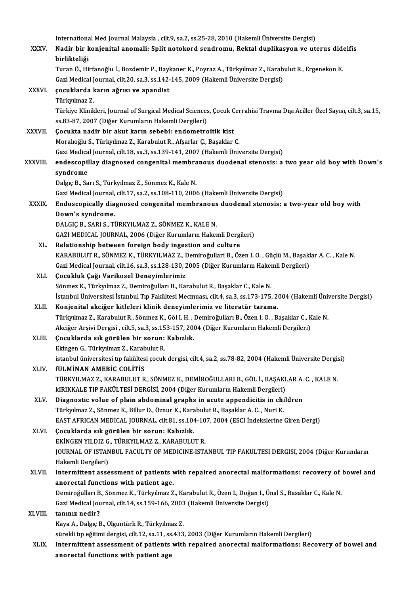International Med Journal Malaysia , cilt.9, sa.2, ss.25-28, 2010 (Hakemli Üniversite Dergisi)<br>Nadin bin konionital anomali: Split natakand sandnamu. Bektal dunlikeaven ve ut. International Med Journal Malaysia , cilt.9, sa.2, ss.25-28, 2010 (Hakemli Üniversite Dergisi)<br>XXXV. Nadir bir konjenital anomali: Split notokord sendromu, Rektal duplikasyon ve uterus didelfis Internationa<br><mark>Nadir bir k</mark><br>birlikteliği<br>Turan Ö. Hi Nadir bir konjenital anomali: Split notokord sendromu, Rektal duplikasyon ve uterus dide<br>birlikteliği<br>Turan Ö., Hirfanoğlu İ., Bozdemir P., Baykaner K., Poyraz A., Türkyılmaz Z., Karabulut R., Ergenekon E.<br>Ceri Medicel Jou birlikteliği<br>Turan Ö., Hirfanoğlu İ., Bozdemir P., Baykaner K., Poyraz A., Türkyılmaz Z., Karabulut R., Ergenekon E.<br>Gazi Medical Journal, cilt.20, sa.3, ss.142-145, 2009 (Hakemli Üniversite Dergisi) XXXVI. çocuklarda karın ağrısı ve apandist Türkyılmaz Z. Türkiye Klinikleri, Journal of Surgical Medical Sciences, Çocuk Cerrahisi Travma Dışı Aciller Özel Sayısı, cilt.3, sa.15, ss.83-87, 2007 (Diğer Kurumların Hakemli Dergileri) XXXVII. Cocukta nadir bir akut karın sebebi: endometroitik kist Moralıoğlu S., Türkyılmaz Z., Karabulut R., Afşarlar Ç., Başaklar C. Gazi Medical Journal, cilt.18, sa.3, ss.139-141, 2007 (Hakemli Üniversite Dergisi) Moralıoğlu S., Türkyılmaz Z., Karabulut R., Afşarlar Ç., Başaklar C.<br>Gazi Medical Journal, cilt.18, sa.3, ss.139-141, 2007 (Hakemli Üniversite Dergisi)<br>XXXVIII. endescopillay diagnosed congenital membranous duodenal st Gazi Medica<br>endescopil<br>syndrome<br>Delgie B. So endescopillay diagnosed congenital membra<br>syndrome<br>Dalgıç B., Sarı S., Türkyılmaz Z., Sönmez K., Kale N.<br>Ceri Medisal Journal, silt 17, sa 2, ss 109, 110, 2004 <mark>syndrome</mark><br>Dalgıç B., Sarı S., Türkyılmaz Z., Sönmez K., Kale N.<br>Gazi Medical Journal, cilt.17, sa.2, ss.108-110, 2006 (Hakemli Üniversite Dergisi)<br>Endosseniselly disspessed sensenitel membraneve duodenal stenesisu Dalgıç B., Sarı S., Türkyılmaz Z., Sönmez K., Kale N.<br>Gazi Medical Journal, cilt.17, sa.2, ss.108-110, 2006 (Hakemli Üniversite Dergisi)<br>XXXIX. Endoscopically diagnosed congenital membranous duodenal stenosis: a two-ye Gazi Medical Journal,<br>Endoscopically dia<br>Down's syndrome.<br>DALGIC B. SABLS. Ti Endoscopically diagnosed congenital membranous<br>Down's syndrome.<br>DALGIÇ B., SARI S., TÜRKYILMAZ Z., SÖNMEZ K., KALE N.<br>CAZI MEDICAL JOUPNAL, 2006 (Dižer Kurumların Haltat Down's syndrome.<br>DALGIÇ B., SARI S., TÜRKYILMAZ Z., SÖNMEZ K., KALE N.<br>GAZI MEDICAL JOURNAL, 2006 (Diğer Kurumların Hakemli Dergileri)<br>Belationekin hatusen fansısın badu insestien and sulture. DALGIÇ B., SARI S., TÜRKYILMAZ Z., SÖNMEZ K., KALE N.<br>GAZI MEDICAL JOURNAL, 2006 (Diğer Kurumların Hakemli Dergi<br>XL. Relationship between foreign body ingestion and culture<br>KARAPULUT B. SÖNMEZ K. TÜRKVU MAZ Z. Domiroğullar Relationship between foreign body ingestion and culture<br>KARABULUT R., SÖNMEZ K., TÜRKYILMAZ Z., Demiroğullari B., Özen I. O. , Güçlü M., Başaklar A. C. , Kale N. Relationship between foreign body ingestion and culture<br>KARABULUT R., SÖNMEZ K., TÜRKYILMAZ Z., Demiroğullari B., Özen I. O. , Güçlü M., Başakl<br>Gazi Medical Journal, cilt.16, sa.3, ss.128-130, 2005 (Diğer Kurumların Hakeml KARABULUT R., SÖNMEZ K., TÜRKYILMAZ Z., I<br>Gazi Medical Journal, cilt.16, sa.3, ss.128-130, 2<br>XLI. Cocukluk Çağı Varikosel Deneyimlerimiz<br>Sönmer K. Türkulmaz Z. Demineğulları B. Ka Gazi Medical Journal, cilt.16, sa.3, ss.128-130, 2005 (Diğer Kurumların Hakel<br>**Çocukluk Çağı Varikosel Deneyimlerimiz**<br>Sönmez K., Türkyılmaz Z., Demiroğulları B., Karabulut R., Başaklar C., Kale N.<br>İstanbul Üniversitesi İs Çocukluk Çağı Varikosel Deneyimlerimiz<br>Sönmez K., Türkyılmaz Z., Demiroğulları B., Karabulut R., Başaklar C., Kale N.<br>İstanbul Üniversitesi İstanbul Tıp Fakültesi Mecmuası, cilt.4, sa.3, ss.173-175, 2004 (Hakemli Üniversit Sönmez K., Türkyılmaz Z., Demiroğulları B., Karabulut R., Başaklar C., Kale N.<br>1957. İstanbul Üniversitesi İstanbul Tıp Fakültesi Mecmuası, cilt.4, sa.3, ss.173-175, 2<br>2. XLII. Konjenital akciğer kitleleri klinik deneyimle İstanbul Üniversitesi İstanbul Tıp Fakültesi Mecmuası, cilt.4, sa.3, ss.173-175, 2004 (Hakemli Üniv<br>Konjenital akciğer kitleleri klinik deneyimlerimiz ve literatür tarama.<br>Türkyılmaz Z., Karabulut R., Sönmez K., Göl I. H. Konjenital akciğer kitleleri klinik deneyimlerimiz ve literatür tarama.<br>Türkyılmaz Z., Karabulut R., Sönmez K., Göl I. H. , Demiroğulları B., Özen I. O. , Başaklar C., K<br>Akciğer Arşivi Dergisi , cilt.5, sa.3, ss.153-157, 2 Türkyılmaz Z., Karabulut R., Sönmez K., Göl I. H., .<br>Akciğer Arşivi Dergisi , cilt.5, sa.3, ss.153-157, 20<br>XLIII. Cocuklarda sık görülen bir sorun: Kabızlık.<br>Flünsen C. Türkulmaz Z. Karabulut P. Akciğer Arşivi Dergisi , cilt.5, sa.3, ss.15<br>**Çocuklarda sık görülen bir sorun:**<br>Ekingen G., Türkyılmaz Z., Karabulut R.<br>istanbul üniversitesi tın fakültesi sosuk Çocuklarda sık görülen bir sorun: Kabızlık.<br>Ekingen G., Türkyılmaz Z., Karabulut R.<br>istanbul üniversitesi tıp fakültesi çocuk dergisi, cilt.4, sa.2, ss.78-82, 2004 (Hakemli Üniversite Dergisi)<br>fili MİNAN AMERİC COLİTİS Ekingen G., Türkyılmaz Z., Karab<br>istanbul üniversitesi tıp fakültes<br>XLIV. FULMİNAN AMEBİC COLİTİS<br>TÜRKYU MAZ Z. KARABULUT B istanbul üniversitesi tıp fakültesi çocuk dergisi, cilt.4, sa.2, ss.78-82, 2004 (Hakemli Üniversite Dergis<br>fULMİNAN AMEBİC COLİTİS<br>TÜRKYILMAZ Z., KARABULUT R., SÖNMEZ K., DEMİROĞULLARI B., GÖL İ., BAŞAKLAR A. C. , KALE N.<br> fULMİNAN AMEBİC COLİTİS<br>TÜRKYILMAZ Z., KARABULUT R., SÖNMEZ K., DEMİROĞULLARI B., GÖL İ., BAŞAKI<br>kIRIKKALE TIP FAKÜLTESİ DERGİSİ, 2004 (Diğer Kurumların Hakemli Dergileri)<br>Diaspestis yoluş of plain abdominal srapba in şeyt TÜRKYILMAZ Z., KARABULUT R., SÖNMEZ K., DEMİROĞULLARI B., GÖL İ., BAŞAKLAR A.<br>kIRIKKALE TIP FAKÜLTESİ DERGİSİ, 2004 (Diğer Kurumların Hakemli Dergileri)<br>XLV. Diagnostic volue of plain abdominal graphs in acute appendicitis kIRIKKALE TIP FAKÜLTESİ DERGİSİ, 2004 (Diğer Kurumların Hakemli Dergileri)<br>Diagnostic volue of plain abdominal graphs in acute appendicitis in children<br>Türkyılmaz Z., Sönmez K., Billur D., Öznur K., Karabulut R., Başaklar Diagnostic volue of plain abdominal graphs in acute appendicitis in children<br>Türkyılmaz Z., Sönmez K., Billur D., Öznur K., Karabulut R., Başaklar A. C. , Nuri K.<br>EAST AFRICAN MEDICAL JOURNAL, cilt.81, ss.104-107, 2004 (ES XLVI. Çocuklarda sık görülen bir sorun: Kabızlık. EAST AFRICAN MEDICAL JOURNAL, cilt81, ss.104-10<br>Çocuklarda sık görülen bir sorun: Kabızlık.<br>EKİNGEN YILDIZ G., TÜRKYILMAZ Z., KARABULUT R.<br>JOUPNAL OE ISTANBUL FACULTY OE MEDICINE IST/ Çocuklarda sık görülen bir sorun: Kabızlık.<br>EKİNGEN YILDIZ G., TÜRKYILMAZ Z., KARABULUT R.<br>JOURNAL OF ISTANBUL FACULTY OF MEDICINE-ISTANBUL TIP FAKULTESI DERGISI, 2004 (Diğer Kurumların<br>Hakamli Dargilari) EKİNGEN YILDIZ G<br>JOURNAL OF ISTAN<br>Hakemli Dergileri)<br>Intermittent asse JOURNAL OF ISTANBUL FACULTY OF MEDICINE-ISTANBUL TIP FAKULTESI DERGISI, 2004 (Diğer Kurumların<br>Hakemli Dergileri)<br>XLVII. Intermittent assessment of patients with repaired anorectal malformations: recovery of bowel and<br>anor Hakemli Dergileri)<br>Intermittent assessment of patients v<br>anorectal functions with patient age.<br>Demireğulları B. Sönmer K. Türkulmer 7 Intermittent assessment of patients with repaired anorectal malformations: recovery of<br>anorectal functions with patient age.<br>Demiroğulları B., Sönmez K., Türkyılmaz Z., Karabulut R., Özen I., Doğan I., Ünal S., Basaklar C. anorectal functions with patient age.<br>Demiroğulları B., Sönmez K., Türkyılmaz Z., Karabulut R., Özen I., Doğan I., Ü:<br>Gazi Medical Journal, cilt.14, ss.159-166, 2003 (Hakemli Üniversite Dergisi)<br>tanınız nedir? Demiroğulları B<br>Gazi Medical Jou<br>XLVIII. tanınız nedir?<br>Esve A. Dakus E tanınız nedir?<br>Kaya A., Dalgıç B., Olguntürk R., Türkyılmaz Z. sürekli tıp eğitimi dergisi, cilt.12, sa.11, ss.433, 2003 (Diğer Kurumların Hakemli Dergileri) Kaya A., Dalgıç B., Olguntürk R., Türkyılmaz Z.<br>sürekli tıp eğitimi dergisi, cilt.12, sa.11, ss.433, 2003 (Diğer Kurumların Hakemli Dergileri)<br>XLIX. Intermittent assessment of patients with repaired anorectal malformations sürekli tip eğitimi dergisi, cilt.12, sa.11, ss<br>Intermittent assessment of patients<br>anorectal functions with patient age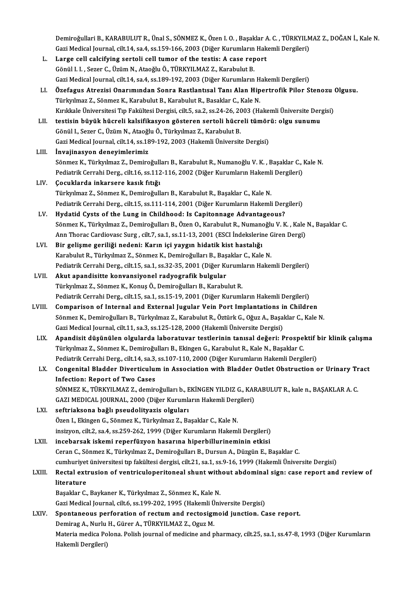Demiroğullari B., KARABULUT R., Ünal S., SÖNMEZ K., Özen I. O. , Başaklar A. C. , TÜRKYILMAZ Z., DOĞAN İ., Kale N.<br>Ceri Medisel Journal, silt 14, sə 4, sə 159, 166, 2002 (Diğer Kurumların Hakemli Dergileri). Demiroğullari B., KARABULUT R., Ünal S., SÖNMEZ K., Özen I. O. , Başaklar A. C. , TÜRKYILM<br>Gazi Medical Journal, cilt.14, sa.4, ss.159-166, 2003 (Diğer Kurumların Hakemli Dergileri)<br>Large sell saleifying serteli sell tumor Demiroğullari B., KARABULUT R., Ünal S., SÖNMEZ K., Özen I. O. , Başaklar A<br>Gazi Medical Journal, cilt.14, sa.4, ss.159-166, 2003 (Diğer Kurumların Hak<br>L. Large cell calcifying sertoli cell tumor of the testis: A case repo Gazi Medical Journal, cilt.14, sa.4, ss.159-166, 2003 (Diğer Kurumların Hakemli Dergileri)<br>L. Large cell calcifying sertoli cell tumor of the testis: A case report<br>Gönül I. I. , Sezer C., Üzüm N., Ataoğlu Ö., TÜRKYILMAZ Z. Gazi Medical Journal, cilt.14, sa.4, ss.189-192, 2003 (Diğer Kurumların Hakemli Dergileri) Gönül I. I. , Sezer C., Üzüm N., Ataoğlu Ö., TÜRKYILMAZ Z., Karabulut B.<br>Gazi Medical Journal, cilt.14, sa.4, ss.189-192, 2003 (Diğer Kurumların Hakemli Dergileri)<br>LI. Özefagus Atrezisi Onarımından Sonra Rastlantısal Tanı Türkyılmaz Z., Sönmez K., Karabulut B., Karabulut R., Basaklar C., Kale N.<br>Kırıkkale Üniversitesi Tıp Fakültesi Dergisi, cilt.5, sa.2, ss.24-26, 2003 (Hakemli Üniversite Dergisi) Özefagus Atrezisi Onarımından Sonra Rastlantısal Tanı Alan Hipertrofik Pilor Stenozu (<br>Türkyılmaz Z., Sönmez K., Karabulut B., Karabulut R., Basaklar C., Kale N.<br>Kırıkkale Üniversitesi Tıp Fakültesi Dergisi, cilt.5, sa.2, Türkyılmaz Z., Sönmez K., Karabulut B., Karabulut R., Basaklar C., Kale N.<br>Kırıkkale Üniversitesi Tıp Fakültesi Dergisi, cilt.5, sa.2, ss.24-26, 2003 (Hakemli Üniversite Derg<br>LII. testisin büyük hücreli kalsifikasyon göste Gönül I., Sezer C., Üzüm N., Ataoğlu Ö., Türkyılmaz Z., Karabulut B.<br>Gazi Medical Journal, cilt.14, ss.189-192, 2003 (Hakemli Üniversite Dergisi) testisin büyük hücreli kalsifikasyon gösteren sertoli hücreli tümör<br>Gönül I., Sezer C., Üzüm N., Ataoğlu Ö., Türkyılmaz Z., Karabulut B.<br>Gazi Medical Journal, cilt.14, ss.189-192, 2003 (Hakemli Üniversite Dergisi)<br>İnyalina LIII. İnvajinasyon deneyimlerimiz Sönmez K., Türkyılmaz Z., Demiroğulları B., Karabulut R., Numanoğlu V. K., Başaklar C., Kale N. İnvajinasyon deneyimlerimiz<br>Sönmez K., Türkyılmaz Z., Demiroğulları B., Karabulut R., Numanoğlu V. K. , Başaklar C., I<br>Pediatrik Cerrahi Derg., cilt.16, ss.112-116, 2002 (Diğer Kurumların Hakemli Dergileri)<br>Cosuklarda inka Sönmez K., Türkyılmaz Z., Demiroğull<br>Pediatrik Cerrahi Derg., cilt.16, ss.112<br>LIV. Gocuklarda inkarsere kasık fıtığı Pediatrik Cerrahi Derg., cilt.16, ss.112-116, 2002 (Diğer Kurumların Hakemli<br>**Çocuklarda inkarsere kasık fıtığı**<br>Türkyılmaz Z., Sönmez K., Demiroğulları B., Karabulut R., Başaklar C., Kale N.<br>Redistrik Cerrebi Derg., silt. Çocuklarda inkarsere kasık fıtığı<br>Türkyılmaz Z., Sönmez K., Demiroğulları B., Karabulut R., Başaklar C., Kale N.<br>Pediatrik Cerrahi Derg., cilt.15, ss.111-114, 2001 (Diğer Kurumların Hakemli Dergileri) LV. Hydatid Cysts of the Lung in Childhood: Is Capitonnage Advantageous? Sönmez K., Türkyılmaz Z., Demiroğulları B., Özen O., Karabulut R., Numanoğlu V. K., Kale N., Başaklar C. Hydatid Cysts of the Lung in Childhood: Is Capitonnage Advantageous?<br>Sönmez K., Türkyılmaz Z., Demiroğulları B., Özen O., Karabulut R., Numanoğlu V. K. , Kale<br>Ann Thorac Cardiovasc Surg , cilt.7, sa.1, ss.11-13, 2001 (ESCI Sönmez K., Türkyılmaz Z., Demiroğulları B., Özen O., Karabulut R., Numan<br>Ann Thorac Cardiovasc Surg , cilt.7, sa.1, ss.11-13, 2001 (ESCI İndekslerir<br>LVI. Bir gelişme geriliği nedeni: Karın içi yaygın hidatik kist hastalığı Ann Thorac Cardiovasc Surg , cilt.7, sa.1, ss.11-13, 2001 (ESCI İndekslerine C<br>Bir gelişme geriliği nedeni: Karın içi yaygın hidatik kist hastalığı<br>Karabulut R., Türkyılmaz Z., Sönmez K., Demiroğulları B., Başaklar C., Kal Bir gelişme geriliği nedeni: Karın içi yaygın hidatik kist hastalığı<br>Karabulut R., Türkyılmaz Z., Sönmez K., Demiroğulları B., Başaklar C., Kale N.<br>Pediatrik Cerrahi Derg., cilt.15, sa.1, ss.32-35, 2001 (Diğer Kurumların H Karabulut R., Türkyılmaz Z., Sönmez K., Demiroğulları B., Baş<br>Pediatrik Cerrahi Derg., cilt.15, sa.1, ss.32-35, 2001 (Diğer Ku<br>LVII. Akut apandisitte konvansiyonel radyografik bulgular<br>Türkpulmaz Z. Sönmez K. Konus Ö. Demi Pediatrik Cerrahi Derg., cilt.15, sa.1, ss.32-35, 2001 (Diğer Kuruml<br><mark>Akut apandisitte konvansiyonel radyografik bulgular</mark><br>Türkyılmaz Z., Sönmez K., Konuş Ö., Demiroğulları B., Karabulut R.<br>Pediatrik Gerrahi Derg., silt.15 Akut apandisitte konvansiyonel radyografik bulgular<br>Türkyılmaz Z., Sönmez K., Konuş Ö., Demiroğulları B., Karabulut R.<br>Pediatrik Cerrahi Derg., cilt.15, sa.1, ss.15-19, 2001 (Diğer Kurumların Hakemli Dergileri) LVIII. Comparison of Internal and External Jugular Vein Port Implantations in Children Sönmez K., Demiroğulları B., Türkyılmaz Z., Karabulut R., Öztürk G., Oğuz A., Başaklar C., Kale N. Gazi Medical Journal, cilt.11, sa.3, ss.125-128, 2000 (Hakemli Üniversite Dergisi) Sönmez K., Demiroğulları B., Türkyılmaz Z., Karabulut R., Öztürk G., Oğuz A., Başaklar C., Kale N.<br>Gazi Medical Journal, cilt.11, sa.3, ss.125-128, 2000 (Hakemli Üniversite Dergisi)<br>LIX. Apandisit düşünülen olgularda labor Gazi Medical Journal, cilt.11, sa.3, ss.125-128, 2000 (Hakemli Üniversite Dergisi)<br>Apandisit düşünülen olgularda laboratuvar testlerinin tanısal değeri: Prospel<br>Türkyılmaz Z., Sönmez K., Demiroğulları B., Ekingen G., Karab Apandisit düşünülen olgularda laboratuvar testlerinin tanısal değeri: Prospektif l<br>Türkyılmaz Z., Sönmez K., Demiroğulları B., Ekingen G., Karabulut R., Kale N., Başaklar C.<br>Pediatrik Cerrahi Derg., cilt.14, sa.3, ss.107-1 Türkyılmaz Z., Sönmez K., Demiroğulları B., Ekingen G., Karabulut R., Kale N., Başaklar C.<br>Pediatrik Cerrahi Derg., cilt.14, sa.3, ss.107-110, 2000 (Diğer Kurumların Hakemli Dergileri)<br>LX. Congenital Bladder Diverticul Pediatrik Cerrahi Derg., cilt.14, sa.3,<br>Congenital Bladder Diverticului<br>Infection: Report of Two Cases<br>SÖNMEZ K. TÜRKVI MAZ Z. domin Congenital Bladder Diverticulum in Association with Bladder Outlet Obstruction or Urinary Tr<br>Infection: Report of Two Cases<br>SÖNMEZ K., TÜRKYILMAZ Z., demiroğulları b., EKİNGEN YILDIZ G., KARABULUT R., kale n., BAŞAKLAR A. Infection: Report of Two Cases<br>SÖNMEZ K., TÜRKYILMAZ Z., demiroğulları b., EKİNGEN YILDIZ G., KAF<br>GAZI MEDICAL JOURNAL, 2000 (Diğer Kurumların Hakemli Dergileri)<br>seftrialisana bağlı nesudalityaris alguları GAZI MEDICAL JOURNAL, 2000 (Diğer Kurumların Hakemli Dergileri)<br>LXI. seftriaksona bağlı pseudolityazis olguları Özen I., Ekingen G., Sönmez K., Türkyılmaz Z., Başaklar C., Kale N. seftriaksona bağlı pseudolityazis olguları<br>Özen I., Ekingen G., Sönmez K., Türkyılmaz Z., Başaklar C., Kale N.<br>insizyon, cilt.2, sa.4, ss.259-262, 1999 (Diğer Kurumların Hakemli Dergileri)<br>insebarsek iskemi reperfüryen bes Özen I., Ekingen G., Sönmez K., Türkyılmaz Z., Başaklar C., Kale N.<br>insizyon, cilt.2, sa.4, ss.259-262, 1999 (Diğer Kurumların Hakemli Dergileri)<br>LXII. incebarsak iskemi reperfüzyon hasarına hiperbillurineminin etkisi incebarsak iskemi reperfüzyon hasarına hiperbillurineminin etkisi<br>Ceran C., Sönmez K., Türkyılmaz Z., Demiroğulları B., Dursun A., Düzgün E., Başaklar C. incebarsak iskemi reperfüzyon hasarına hiperbillurineminin etkisi<br>Ceran C., Sönmez K., Türkyılmaz Z., Demiroğulları B., Dursun A., Düzgün E., Başaklar C.<br>cumhuriyet üniversitesi tıp fakültesi dergisi, cilt.21, sa.1, ss.9-1 Ceran C., Sönmez K., Türkyılmaz Z., Demiroğulları B., Dursun A., Düzgün E., Başaklar C.<br>cumhuriyet üniversitesi tıp fakültesi dergisi, cilt.21, sa.1, ss.9-16, 1999 (Hakemli Üniversite Dergisi)<br>LXIII. Rectal extrusion of ve cumhuriyet<br>Rectal ext<br>literature<br><sup>Resoltler C</sup> Rectal extrusion of ventriculoperitoneal shunt with<br>literature<br>Başaklar C., Baykaner K., Türkyılmaz Z., Sönmez K., Kale N.<br>Ceri Medisel Journal silt 6, ss 199, 202, 1995 (Hakemli Üni literature<br>Başaklar C., Baykaner K., Türkyılmaz Z., Sönmez K., Kale N.<br>Gazi Medical Journal, cilt.6, ss.199-202, 1995 (Hakemli Üniversite Dergisi)

Başaklar C., Baykaner K., Türkyılmaz Z., Sönmez K., Kale N.<br>Gazi Medical Journal, cilt.6, ss.199-202, 1995 (Hakemli Üniversite Dergisi)<br>LXIV. Spontaneous perforation of rectum and rectosigmoid junction. Case report. Gazi Medical Journal, cilt.6, ss.199-202, 1995 (Hakemli Ü<br>Spontaneous perforation of rectum and rectosign<br>Demirag A., Nurlu H., Gürer A., TÜRKYILMAZ Z., Oguz M.<br>Materia medica Belana, Belish iournal of medicine and n Materia medica Polona. Polish journal of medicine and pharmacy, cilt.25, sa.1, ss.47-8, 1993 (Diğer Kurumların<br>Hakemli Dergileri) Demirag A., Nurlu H., Gürer A., TÜRKYILMAZ Z., Oguz M.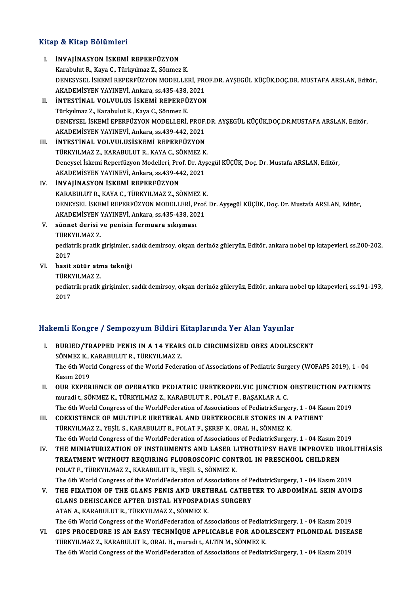# .<br>Kitap & Kitap Bölümleri

| Kitap & Kitap Bölümleri |                                                                                                                        |  |
|-------------------------|------------------------------------------------------------------------------------------------------------------------|--|
| L.                      | <b>INVAJINASYON ISKEMI REPERFÜZYON</b>                                                                                 |  |
|                         | Karabulut R., Kaya C., Türkyılmaz Z., Sönmez K.                                                                        |  |
|                         | DENESYSEL İSKEMİ REPERFÜZYON MODELLERİ, PROF.DR. AYŞEGÜL KÜÇÜK,DOÇ.DR. MUSTAFA ARSLAN, Editör,                         |  |
|                         | AKADEMISYEN YAYINEVİ, Ankara, ss 435-438, 2021                                                                         |  |
| II.                     | <b>INTESTINAL VOLVULUS ISKEMI REPERFÜZYON</b>                                                                          |  |
|                         | Türkyılmaz Z., Karabulut R., Kaya C., Sönmez K.                                                                        |  |
|                         | DENEYSEL İSKEMİ EPERFÜZYON MODELLERİ, PROF.DR. AYŞEGÜL KÜÇÜK,DOÇ.DR.MUSTAFA ARSLAN, Editör,                            |  |
|                         | AKADEMISYEN YAYINEVİ, Ankara, ss.439-442, 2021                                                                         |  |
| Ш.                      | <b>İNTESTİNAL VOLVULUSİSKEMİ REPERFÜZYON</b>                                                                           |  |
|                         | TÜRKYILMAZ Z., KARABULUT R., KAYA C., SÖNMEZ K.                                                                        |  |
|                         | Deneysel İskemi Reperfüzyon Modelleri, Prof. Dr. Ayşegül KÜÇÜK, Doç. Dr. Mustafa ARSLAN, Editör,                       |  |
|                         | AKADEMİSYEN YAYINEVİ, Ankara, ss.439-442, 2021                                                                         |  |
| IV                      | <b>INVAJINASYON ISKEMI REPERFÜZYON</b>                                                                                 |  |
|                         | KARABULUT R., KAYA C., TÜRKYILMAZ Z., SÖNMEZ K.                                                                        |  |
|                         | DENEYSEL İSKEMİ REPERFÜZYON MODELLERİ, Prof. Dr. Ayşegül KÜÇÜK, Doç. Dr. Mustafa ARSLAN, Editör,                       |  |
|                         | AKADEMİSYEN YAYINEVİ, Ankara, ss.435-438, 2021                                                                         |  |
| V.                      | sünnet derisi ve penisin fermuara sıkışması                                                                            |  |
|                         | TÜRKYILMAZ Z                                                                                                           |  |
|                         | pediatrik pratik girişimler, sadık demirsoy, okşan derinöz güleryüz, Editör, ankara nobel tıp kıtapevleri, ss.200-202, |  |
|                         | 2017                                                                                                                   |  |
| VI.                     | basit sütür atma tekniği                                                                                               |  |
|                         | TÜRKYILMAZ Z                                                                                                           |  |
|                         | pediatrik pratik girişimler, sadık demirsoy, okşan derinöz güleryüz, Editör, ankara nobel tıp kitapevleri, ss.191-193, |  |
|                         | 2017                                                                                                                   |  |

### Hakemli Kongre / Sempozyum Bildiri Kitaplarında Yer Alan Yayınlar

- akemli Kongre / Sempozyum Bildiri Kitaplarında Yer Alan Yayınlar<br>I. BURIED/TRAPPED PENIS IN A 14 YEARS OLD CIRCUMSİZED OBES ADOLESCENT<br>SÖNMEZ K. KARAPULUTR TÜRKVU MAZ Z SINI RORGE 7 SOMPODJAM DRAFI 1<br>BURIED/TRAPPED PENIS IN A 14 YEAR:<br>SÖNMEZ K., KARABULUT R., TÜRKYILMAZ Z. BURIED/TRAPPED PENIS IN A 14 YEARS OLD CIRCUMSIZED OBES ADOLESCENT<br>SÖNMEZ K., KARABULUT R., TÜRKYILMAZ Z.<br>The 6th World Congress of the World Federation of Associations of Pediatric Surgery (WOFAPS 2019), 1 - 04<br>Kasum 2019 SÖNMEZ K., I<br>The 6th Wor<br>Kasım 2019<br>OUP EYPEP The 6th World Congress of the World Federation of Associations of Pediatric Surgery (WOFAPS 2019), 1 - 04<br>Kasım 2019<br>II. OUR EXPERIENCE OF OPERATED PEDIATRIC URETEROPELVIC JUNCTION OBSTRUCTION PATIENTS<br>munedi + SÖNMEZ V. T
- Kasım 2019<br>OUR EXPERIENCE OF OPERATED PEDIATRIC URETEROPELVIC JUNCTION<br>muradi t., SÖNMEZ K., TÜRKYILMAZ Z., KARABULUT R., POLAT F., BAŞAKLAR A. C.<br>The 6th Werld Congress of the WerldFederation of Associations of PediatricS OUR EXPERIENCE OF OPERATED PEDIATRIC URETEROPELVIC JUNCTION OBSTRUCTION PATI<br>muradi t., SÖNMEZ K., TÜRKYILMAZ Z., KARABULUT R., POLAT F., BAŞAKLAR A. C.<br>The 6th World Congress of the WorldFederation of Associations of Pedi muradi t., SÖNMEZ K., TÜRKYILMAZ Z., KARABULUT R., POLAT F., BAŞAKLAR A. C.<br>The 6th World Congress of the WorldFederation of Associations of PediatricSurgery, 1 - 04 Ka<br>III. COEXISTENCE OF MULTIPLE URETERAL AND URETEROCELE
- The 6th World Congress of the WorldFederation of Associations of PediatricSurger<br>COEXISTENCE OF MULTIPLE URETERAL AND URETEROCELE STONES IN A<br>TÜRKYILMAZ Z., YEŞİL S., KARABULUT R., POLAT F., ŞEREF K., ORAL H., SÖNMEZ K.<br>Th TÜRKYILMAZ Z., YEŞİL S., KARABULUT R., POLAT F., ŞEREF K., ORAL H., SÖNMEZ K.<br>The 6th World Congress of the WorldFederation of Associations of PediatricSurgery, 1 - 04 Kasım 2019
- IV. THE MINIATURIZATION OF INSTRUMENTS AND LASER LITHOTRIPSY HAVE IMPROVED UROLITHIASIS The 6th World Congress of the WorldFederation of Associations of PediatricSurgery, 1 - 04 Kasım 20<br>THE MINIATURIZATION OF INSTRUMENTS AND LASER LITHOTRIPSY HAVE IMPROVED UI<br>TREATMENT WITHOUT REQUIRING FLUOROSCOPIC CONTROL THE MINIATURIZATION OF INSTRUMENTS AND LASER L<br>TREATMENT WITHOUT REQUIRING FLUOROSCOPIC CONT<br>POLAT F., TÜRKYILMAZ Z., KARABULUT R., YEŞİL S., SÖNMEZ K.<br>The 6th Werld Congress of the WerldFederation of Association. TREATMENT WITHOUT REQUIRING FLUOROSCOPIC CONTROL IN PRESCHOOL CHILDREN<br>POLAT F., TÜRKYILMAZ Z., KARABULUT R., YEŞİL S., SÖNMEZ K.<br>The 6th World Congress of the WorldFederation of Associations of PediatricSurgery, 1 - 04 Ka POLAT F., TÜRKYILMAZ Z., KARABULUT R., YEŞİL S., SÖNMEZ K.<br>The 6th World Congress of the WorldFederation of Associations of PediatricSurgery, 1 - 04 Kasım 2019<br>V. THE FIXATION OF THE GLANS PENIS AND URETHRAL CATHETER TO AB
- The 6th World Congress of the WorldFederation of Associations of P<br>THE FIXATION OF THE GLANS PENIS AND URETHRAL CATHE<br>GLANS DEHISCANCE AFTER DISTAL HYPOSPADIAS SURGERY<br>ATAN A KARABULUT P TÜRKVU MAZ Z SÖNMEZK THE FIXATION OF THE GLANS PENIS AND URET<br>GLANS DEHISCANCE AFTER DISTAL HYPOSPAD!<br>ATAN A., KARABULUT R., TÜRKYILMAZ Z., SÖNMEZ K.<br>The 6th World Congress of the WorldEederation of A GLANS DEHISCANCE AFTER DISTAL HYPOSPADIAS SURGERY<br>ATAN A., KARABULUT R., TÜRKYILMAZ Z., SÖNMEZ K.<br>The 6th World Congress of the WorldFederation of Associations of PediatricSurgery, 1 - 04 Kasım 2019<br>CIBS BROCEDURE IS AN FA ATAN A., KARABULUT R., TÜRKYILMAZ Z., SÖNMEZ K.<br>The 6th World Congress of the WorldFederation of Associations of PediatricSurgery, 1 - 04 Kasım 2019<br>VI. GIPS PROCEDURE IS AN EASY TECHNIQUE APPLICABLE FOR ADOLESCENT PILONID
- The 6th World Congress of the WorldFederation of Associations of Pediat<br>GIPS PROCEDURE IS AN EASY TECHNIQUE APPLICABLE FOR ADOI<br>TÜRKYILMAZ Z., KARABULUT R., ORAL H., muradi t., ALTIN M., SÖNMEZ K.<br>The 6th World Congress of GIPS PROCEDURE IS AN EASY TECHNİQUE APPLICABLE FOR ADOLESCENT PILONIDAL DISE.<br>TÜRKYILMAZ Z., KARABULUT R., ORAL H., muradi t., ALTIN M., SÖNMEZ K.<br>The 6th World Congress of the WorldFederation of Associations of PediatricS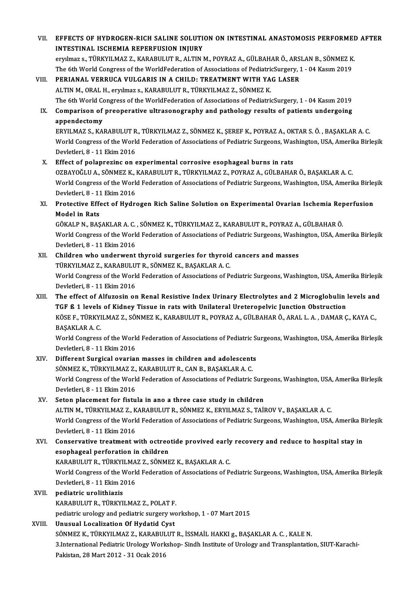VII. EFFECTS OF HYDROGEN-RICH SALINE SOLUTION ON INTESTINAL ANASTOMOSIS PERFORMED AFTER INTESTINAL ISCHEMIA REPERFUSION INJURY eryılmaz s., TÜRKYILMAZ Z., KARABULUT R., ALTIN M., POYRAZ A., GÜLBAHAR Ö., ARSLAN B., SÖNMEZ K. INTESTINAL ISCHEMIA REPERFUSION INJURY<br>eryılmaz s., TÜRKYILMAZ Z., KARABULUT R., ALTIN M., POYRAZ A., GÜLBAHAR Ö., ARSLAN B., SÖNMEZ K<br>The 6th World Congress of the WorldFederation of Associations of PediatricSurgery, 1 eryılmaz s., TÜRKYILMAZ Z., KARABULUT R., ALTIN M., POYRAZ A., GÜLBAHAR Ö., ARS.<br>The 6th World Congress of the WorldFederation of Associations of PediatricSurgery, 1<br>VIII. PERIANAL VERRUCA VULGARIS IN A CHILD: TREATMENT WI The 6th World Congress of the WorldFederation of Associations of Pediatric<br>PERIANAL VERRUCA VULGARIS IN A CHILD: TREATMENT WITH YA<br>ALTIN M., ORAL H., eryılmaz s., KARABULUT R., TÜRKYILMAZ Z., SÖNMEZ K.<br>The 6th World Congre PERIANAL VERRUCA VULGARIS IN A CHILD: TREATMENT WITH YAG LASER<br>ALTIN M., ORAL H., eryılmaz s., KARABULUT R., TÜRKYILMAZ Z., SÖNMEZ K.<br>The 6th World Congress of the WorldFederation of Associations of PediatricSurgery, 1 - 0 ALTIN M., ORAL H., eryilmaz s., KARABULUT R., TÜRKYILMAZ Z., SÖNMEZ K.<br>The 6th World Congress of the WorldFederation of Associations of PediatricSurgery, 1 - 04 Kasim 2019<br>IX. Comparison of preoperative ultrasonography and The 6th World Continue of<br>**Comparison of**<br>appendectomy<br>EPVII MA7 S KA Comparison of preoperative ultrasonography and pathology results of patients undergoing<br>appendectomy<br>ERYILMAZ S., KARABULUT R., TÜRKYILMAZ Z., SÖNMEZ K., ŞEREF K., POYRAZ A., OKTAR S. Ö. , BAŞAKLAR A. C.<br>Werld Congress of appendectomy<br>ERYILMAZ S., KARABULUT R., TÜRKYILMAZ Z., SÖNMEZ K., ŞEREF K., POYRAZ A., OKTAR S. Ö. , BAŞAKLAR A. C.<br>World Congress of the World Federation of Associations of Pediatric Surgeons, Washington, USA, Amerika Bir ERYILMAZ S., KARABULUT R<br>World Congress of the World<br>Devletleri, 8 - 11 Ekim 2016<br>Effect of nolannegine on a World Congress of the World Federation of Associations of Pediatric Surgeons, Washington, USA, Amerika Birleşik<br>Devletleri, 8 - 11 Ekim 2016<br>X. Effect of polaprezinc on experimental corrosive esophageal burns in rats Devletleri, 8 - 11 Ekim 2016<br><mark>Effect of polaprezinc on experimental corrosive esophageal burns in rats</mark><br>OZBAYOĞLU A., SÖNMEZ K., KARABULUT R., TÜRKYILMAZ Z., POYRAZ A., GÜLBAHAR Ö., BAŞAKLAR A. C.<br>Werld Congress of the Wer World Congress of the World Federation of Associations of Pediatric Surgeons, Washington, USA, Amerika Birleşik<br>Devletleri, 8 - 11 Ekim 2016 OZBAYOĞLU A., SÖNMEZ K., 1<br>World Congress of the World<br>Devletleri, 8 - 11 Ekim 2016<br>Protective Effect of Hydr World Congress of the World Federation of Associations of Pediatric Surgeons, Washington, USA, Amerika Birle;<br>Devletleri, 8 - 11 Ekim 2016<br>XI. Protective Effect of Hydrogen Rich Saline Solution on Experimental Ovarian Isch Devletleri, 8 - 11<br><mark>Protective Effe</mark><br>Model in Rats<br>CÖVALP N. RAS Protective Effect of Hydrogen Rich Saline Solution on Experimental Ovarian Ischemia Rep<br>Model in Rats<br>GÖKALP N., BAŞAKLAR A. C. , SÖNMEZ K., TÜRKYILMAZ Z., KARABULUT R., POYRAZ A., GÜLBAHAR Ö.<br>World Congress of the World E Model in Rats<br>GÖKALP N., BAŞAKLAR A. C. , SÖNMEZ K., TÜRKYILMAZ Z., KARABULUT R., POYRAZ A., GÜLBAHAR Ö.<br>World Congress of the World Federation of Associations of Pediatric Surgeons, Washington, USA, Amerika Birleşik<br>Pevla GÖKALP N., BAŞAKLAR A. C.<br>World Congress of the World<br>Devletleri, 8 - 11 Ekim 2016<br>Children who underwant World Congress of the World Federation of Associations of Pediatric Surgeons, Wash:<br>Devletleri, 8 - 11 Ekim 2016<br>XII. Children who underwent thyroid surgeries for thyroid cancers and masses<br>TÜRKVI MAZ Z. KARARIII UT R. SÖN Devletleri, 8 - 11 Ekim 2016<br>Children who underwent thyroid surgeries for thyroid<br>TÜRKYILMAZ Z., KARABULUT R., SÖNMEZ K., BAŞAKLAR A. C.<br>Werld Congress of the Werld Eederation of Associations of B Children who underwent thyroid surgeries for thyroid cancers and masses<br>TÜRKYILMAZ Z., KARABULUT R., SÖNMEZ K., BAŞAKLAR A. C.<br>World Congress of the World Federation of Associations of Pediatric Surgeons, Washington, USA, TÜRKYILMAZ Z., KARABULU<br>World Congress of the World<br>Devletleri, 8 - 11 Ekim 2016<br>The offect of Alfuresin or World Congress of the World Federation of Associations of Pediatric Surgeons, Washington, USA, Amerika Birleşik<br>Devletleri, 8 - 11 Ekim 2016<br>XIII. The effect of Alfuzosin on Renal Resistive Index Urinary Electrolytes and 2 Devletleri, 8 - 11 Ekim 2016<br>The effect of Alfuzosin on Renal Resistive Index Urinary Electrolytes and 2 Microglobulin |<br>TGF ß 1 levels of Kidney Tissue in rats with Unilateral Ureteropelvic Junction Obstruction<br>VÖSE E. TÜ The effect of Alfuzosin on Renal Resistive Index Urinary Electrolytes and 2 Microglobulin levels and<br>TGF ß 1 levels of Kidney Tissue in rats with Unilateral Ureteropelvic Junction Obstruction<br>KÖSE F., TÜRKYILMAZ Z., SÖNMEZ TGF ß 1 levels of Kidney Tissue in rats with Unilateral Ureteropelvic Junction Obstruction<br>KÖSE F., TÜRKYILMAZ Z., SÖNMEZ K., KARABULUT R., POYRAZ A., GÜLBAHAR Ö., ARAL L. A. , DAMAR Ç<br>BAŞAKLAR A. C. KÖSE F., TÜRKYILMAZ Z., SÖNMEZ K., KARABULUT R., POYRAZ A., GÜLBAHAR Ö., ARAL L. A. , DAMAR Ç., KAYA C.,<br>BAŞAKLAR A. C.<br>World Congress of the World Federation of Associations of Pediatric Surgeons, Washington, USA, Amerika World Congress of the World Federation of Associations of Pediatric Surgeons, Washington, USA, Amerika Birleşik XIV. Different Surgical ovarian masses in children and adolescents Devletleri, 8 - 11 Ekim 2016<br>Different Surgical ovarian masses in children and adolescent:<br>SÖNMEZ K., TÜRKYILMAZ Z., KARABULUT R., CAN B., BAŞAKLAR A. C.<br>Werld Congress of the Werld Esdenation of Associations of Pediatris World Congress of the World Federation of Associations of Pediatric Surgeons, Washington, USA, Amerika Birleşik<br>Devletleri, 8 - 11 Ekim 2016 SÖNMEZ K., TÜRKYILMAZ Z.,<br>World Congress of the World<br>Devletleri, 8 - 11 Ekim 2016<br>Seten placement for fistu XV. Seton placement for fistula in ano a three case study in children ALTIN M., TÜRKYILMAZ Z., KARABULUT R., SÖNMEZ K., ERYILMAZ S., TAİROV V., BAŞAKLAR A. C. Seton placement for fistula in ano a three case study in children<br>ALTIN M., TÜRKYILMAZ Z., KARABULUT R., SÖNMEZ K., ERYILMAZ S., TAİROV V., BAŞAKLAR A. C.<br>World Congress of the World Federation of Associations of Pediatric ALTIN M., TÜRKYILMAZ Z., K<br>World Congress of the World<br>Devletleri, 8 - 11 Ekim 2016<br>Conservative treatment u World Congress of the World Federation of Associations of Pediatric Surgeons, Washington, USA, Amerika B<br>Devletleri, 8 - 11 Ekim 2016<br>XVI. Conservative treatment with octreotide provived early recovery and reduce to hospit Devletleri, 8 - 11 Ekim 2016<br>Conservative treatment with octreo<br>esophageal perforation in children<br>KARAPULUT P-TÜRVVU MAZ Z-SÖNME Conservative treatment with octreotide provived early<br>esophageal perforation in children<br>KARABULUT R., TÜRKYILMAZ Z., SÖNMEZ K., BAŞAKLAR A. C.<br>World Congress of the World Eederation of Associations of P. esophageal perforation in children<br>KARABULUT R., TÜRKYILMAZ Z., SÖNMEZ K., BAŞAKLAR A. C.<br>World Congress of the World Federation of Associations of Pediatric Surgeons, Washington, USA, Amerika Birleşik<br>Devletleri, 8 - 11 E KARABULUT R., TÜRKYILMAZ Z., SÖNMEZ K., BAŞAKLAR A. C. XVI . pediatric urolithiazis KARABULUTR.,TÜRKYILMAZ Z.,POLATF. pediatric urology and pediatric surgery workshop, 1 - 07 Mart 2015 XVIII. Unusual Localization Of Hydatid Cyst pediatric urology and pediatric surgery workshop, 1 - 07 Mart 2015<br>Unusual Localization Of Hydatid Cyst<br>SÖNMEZ K., TÜRKYILMAZ Z., KARABULUT R., İSSMAİL HAKKI g., BAŞAKLAR A. C. , KALE N.<br>2 International Pediatric Urology W 3.International Pediatric Urology Workshop-Sindh Institute of Urology and Transplantation, SIUT-Karachi-Pakistan, 28 Mart 2012 - 31 Ocak 2016 SÖNMEZ K., TÜRKYILMAZ Z., KARABUL<br>3.International Pediatric Urology Work<br>Pakistan, 28 Mart 2012 - 31 Ocak 2016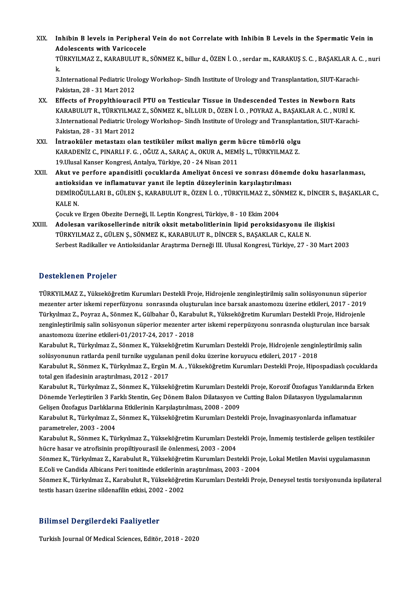XIX. Inhibin B levels in Peripheral Vein do not Correlate with Inhibin B Levels in the Spermatic Vein in Inhibin B levels in Periphera<br>Adolescents with Varicocele<br>TÜRKVU MAZ Z. KARABULUT R Inhibin B levels in Peripheral Vein do not Correlate with Inhibin B Levels in the Spermatic Vein in<br>Adolescents with Varicocele<br>TÜRKYILMAZ Z., KARABULUT R., SÖNMEZ K., billur d., ÖZEN İ. O. , serdar m., KARAKUŞ S. C. , BAŞ A<br>Ti<br>k. TÜRKYILMAZ Z., KARABULUT R., SÖNMEZ K., billur d., ÖZEN İ. O. , serdar m., KARAKUŞ S. C. , BAŞAKLAR A.<br>k.<br>3.International Pediatric Urology Workshop- Sindh Institute of Urology and Transplantation, SIUT-Karachi-<br>Pakistan 2 k.<br>3.International Pediatric Urology Workshop- Sindh Institute of Urology and Transplantation, SIUT-Karachi-<br>Pakistan, 28 - 31 Mart 2012

- 3.International Pediatric Urology Workshop- Sindh Institute of Urology and Transplantation, SIUT-Karachi<br>Pakistan, 28 31 Mart 2012<br>XX. Effects of Propylthiouracil PTU on Testicular Tissue in Undescended Testes in Newborn Pakistan, 28 - 31 Mart 2012<br>Effects of Propylthiouracil PTU on Testicular Tissue in Undescended Testes in Newborn Rats<br>KARABULUT R., TÜRKYILMAZ Z., SÖNMEZ K., bİLLUR D., ÖZEN İ. O. , POYRAZ A., BAŞAKLAR A. C. , NURİ K.<br>2 I Effects of Propylthiouracil PTU on Testicular Tissue in Undescended Testes in Newborn Rats<br>KARABULUT R., TÜRKYILMAZ Z., SÖNMEZ K., bİLLUR D., ÖZEN İ. O. , POYRAZ A., BAŞAKLAR A. C. , NURİ K.<br>3.International Pediatric Urolo KARABULUT R., TÜRKYILMA<br>3.International Pediatric Uro<br>Pakistan, 28 - 31 Mart 2012<br>Introoküler metastarı, ola 3.International Pediatric Urology Workshop- Sindh Institute of Urology and Transplant<br>Pakistan, 28 - 31 Mart 2012<br>XXI. Intraoküler metastazı olan testiküler mikst maliyn germ hücre tümörlü olgu<br>KARADENİZ C. PINAPLLE C. QČU
- Pakistan, 28 31 Mart 2012<br>İntraoküler metastazı olan testiküler mikst maliyn germ hücre tümörlü olgu<br>KARADENİZ C., PINARLI F. G. , OĞUZ A., SARAÇ A., OKUR A., MEMİŞ L., TÜRKYILMAZ Z.<br>19 Ulusal Kansar Kansresi, Antalya Tü İntraoküler metastazı olan testiküler mikst maliyn germ l<br>KARADENİZ C., PINARLI F. G. , OĞUZ A., SARAÇ A., OKUR A., MEM<br>19.Ulusal Kanser Kongresi, Antalya, Türkiye, 20 - 24 Nisan 2011<br>Akut ve perfere apendisitli sesuklarda KARADENİZ C., PINARLI F. G. , OĞUZ A., SARAÇ A., OKUR A., MEMİŞ L., TÜRKYILMAZ Z.<br>19.Ulusal Kanser Kongresi, Antalya, Türkiye, 20 - 24 Nisan 2011<br>XXII. Akut ve perfore apandisitli çocuklarda Ameliyat öncesi ve sonrası
- 19.Ulusal Kanser Kongresi, Antalya, Türkiye, 20 24 Nisan 2011<br>Akut ve perfore apandisitli çocuklarda Ameliyat öncesi ve sonrası dönem<br>antioksidan ve inflamatuvar yanıt ile leptin düzeylerinin karşılaştırılması<br>DEMİPOČULL Akut ve perfore apandisitli çocuklarda Ameliyat öncesi ve sonrası dönemde doku hasarlanması,<br>antioksidan ve inflamatuvar yanıt ile leptin düzeylerinin karşılaştırılması<br>DEMİROĞULLARI B., GÜLEN Ş., KARABULUT R., ÖZEN İ. O. antioks<br>DEMIRO<br>KALE N.<br>Cosultus DEMİROĞULLARI B., GÜLEN Ş., KARABULUT R., ÖZEN İ. O. , TÜRKYILMAZ Z., SÖI<br>KALE N.<br>Çocuk ve Ergen Obezite Derneği, II. Leptin Kongresi, Türkiye, 8 - 10 Ekim 2004<br>Adelesan varikesellerinde nitrik eksit metebelitlerinin linid KALE N.<br>Çocuk ve Ergen Obezite Derneği, II. Leptin Kongresi, Türkiye, 8 - 10 Ekim 2004<br>XXIII. Adolesan varikosellerinde nitrik oksit metabolitlerinin lipid peroksidasyonu ile ilişkisi

TÜRKYILMAZ Z., GÜLEN Ş., SÖNMEZ K., KARABULUT R., DİNCER S., BAŞAKLAR C., KALE N. Serbest Radikaller ve Antioksidanlar Araştırma Derneği III. Ulusal Kongresi, Türkiye, 27 - 30 Mart 2003

### Desteklenen Projeler

Desteklenen Projeler<br>TÜRKYILMAZ Z., Yükseköğretim Kurumları Destekli Proje, Hidrojenle zenginleştirilmiş salin solüsyonunun süperior<br>marantar artar iskami renerfüryonu, sanrasında alustumları inse barsak anastamaru üzerine mezenteri arter arterister<br>TÜRKYILMAZ Z., Yükseköğretim Kurumları Destekli Proje, Hidrojenle zenginleştirilmiş salin solüsyonunun süperior<br>Türkulmaz Z., Boyraz A., Sönmaz K., Gülbabar Ö., Karabulut B., Vükseköğretim Kuruml TÜRKYILMAZ Z., Yükseköğretim Kurumları Destekli Proje, Hidrojenle zenginleştirilmiş salin solüsyonunun süperior<br>mezenter arter iskemi reperfüzyonu sonrasında oluşturulan ince barsak anastomozu üzerine etkileri, 2017 - 201 mezenter arter iskemi reperfüzyonu sonrasında oluşturulan ince barsak anastomozu üzerine etkileri, 2017 - 2019<br>Türkyılmaz Z., Poyraz A., Sönmez K., Gülbahar Ö., Karabulut R., Yükseköğretim Kurumları Destekli Proje, Hidroj Türkyılmaz Z., Poyraz A., Sönmez K., Gülbahar Ö., Karabulut R., Yükseköğretim Kurumları Destekli Proje, Hidrojenle<br>zenginleştirilmiş salin solüsyonun süperior mezenter arter iskemi reperpüzyonu sonrasnda oluşturulan ince b zenginleştirilmiş salin solüsyonun süperior mezenter arter iskemi reperpüzyonu sonrasnda oluşturulan ince barsa<br>anastomozu üzerine etkileri-01/2017-24, 2017 - 2018<br>Karabulut R., Türkyılmaz Z., Sönmez K., Yükseköğretim Kuru

Karabulut R., Türkyılmaz Z., Sönmez K., Yükseköğretim Kurumları Destekli Proje, Hidrojenle zenginleştirilmiş salin Karabulut R., Türkyılmaz Z., Sönmez K., Yükseköğretim Kurumları Destekli Proje, Hidrojenle zenginleştirilmiş salin<br>solüsyonunun ratlarda penil turnike uygulanan penil doku üzerine koruyucu etkileri, 2017 - 2018<br>Karabulut R

solüsyonunun ratlarda penil turnike uygulanan penil doku üzerine koruyucu etkileri, 2017 - 2018<br>Karabulut R., Sönmez K., Türkyılmaz Z., Ergün M. A. , Yükseköğretim Kurumları Destekli Proje, Hipc<br>total gen ifadesinin araştı Karabulut R., Sönmez K., Türkyılmaz Z., Ergün M. A. , Yükseköğretim Kurumları Destekli Proje, Hipospadiaslı çocuklarda<br>total gen ifadesinin araştırılması, 2012 - 2017<br>Karabulut R., Türkyılmaz Z., Sönmez K., Yükseköğretim K

total gen ifadesinin araştırılması, 2012 - 2017<br>Karabulut R., Türkyılmaz Z., Sönmez K., Yükseköğretim Kurumları Destekli Proje, Korozif Özofagus Yanıklarında Erl<br>Dönemde Yerleştirilen 3 Farklı Stentin, Geç Dönem Balon Dila Karabulut R., Türkyılmaz Z., Sönmez K., Yükseköğretim Kurumları Deste<br>Dönemde Yerleştirilen 3 Farklı Stentin, Geç Dönem Balon Dilatasyon ve<br>Gelişen Özofagus Darlıklarına Etkilerinin Karşılaştırılması, 2008 - 2009<br>Karabulut Dönemde Yerleştirilen 3 Farklı Stentin, Geç Dönem Balon Dilatasyon ve Cutting Balon Dilatasyon Uygulamalarının<br>Gelişen Özofagus Darlıklarına Etkilerinin Karşılaştırılması, 2008 - 2009<br>Karabulut R., Türkyılmaz Z., Sönmez K.

parametreler,2003 -2004 Karabulut R., Türkyılmaz Z., Sönmez K., Yükseköğretim Kurumları Destekli Proje, İnvaginasyonlarda inflamatuar<br>parametreler, 2003 - 2004<br>Karabulut R., Sönmez K., Türkyılmaz Z., Yükseköğretim Kurumları Destekli Proje, İnmemi

parametreler, 2003 - 2004<br>Karabulut R., Sönmez K., Türkyılmaz Z., Yükseköğretim Kurumları Dest<br>hücre hasar ve atrofisinin propiltiyourasil ile önlenmesi, 2003 - 2004<br>Sönmez K., Türkulmaz Z., Karabulut B., Vükseköğretim Kur Karabulut R., Sönmez K., Türkyılmaz Z., Yükseköğretim Kurumları Destekli Proje, İnmemiş testislerde gelişen testiküle:<br>hücre hasar ve atrofisinin propiltiyourasil ile önlenmesi, 2003 - 2004<br>Sönmez K., Türkyılmaz Z., Karabu

hücre hasar ve atrofisinin propiltiyourasil ile önlenmesi, 2003 - 2004<br>Sönmez K., Türkyılmaz Z., Karabulut R., Yükseköğretim Kurumları Destekli Proje, Lokal Metilen Mavisi uygulamasının<br>E.Coli ve Candida Albicans Peri toni Sönmez K., Türkyılmaz Z., Karabulut R., Yükseköğretim Kurumları Destekli Proje, Lokal Metilen Mavisi uygulamasının<br>E.Coli ve Candida Albicans Peri tonitinde etkilerinin araştırılması, 2003 - 2004<br>Sönmez K., Türkyılmaz Z.,

E.Coli ve Candida Albicans Peri tonitinde etkilerinin<br>Sönmez K., Türkyılmaz Z., Karabulut R., Yükseköğret<br>testis hasarı üzerine sildenafilin etkisi, 2002 - 2002

## testis hasarı üzerine sildenafilin etkisi, 2002 - 2002<br>Bilimsel Dergilerdeki Faaliyetler

Turkish Journal Of Medical Sciences, Editör, 2018 - 2020